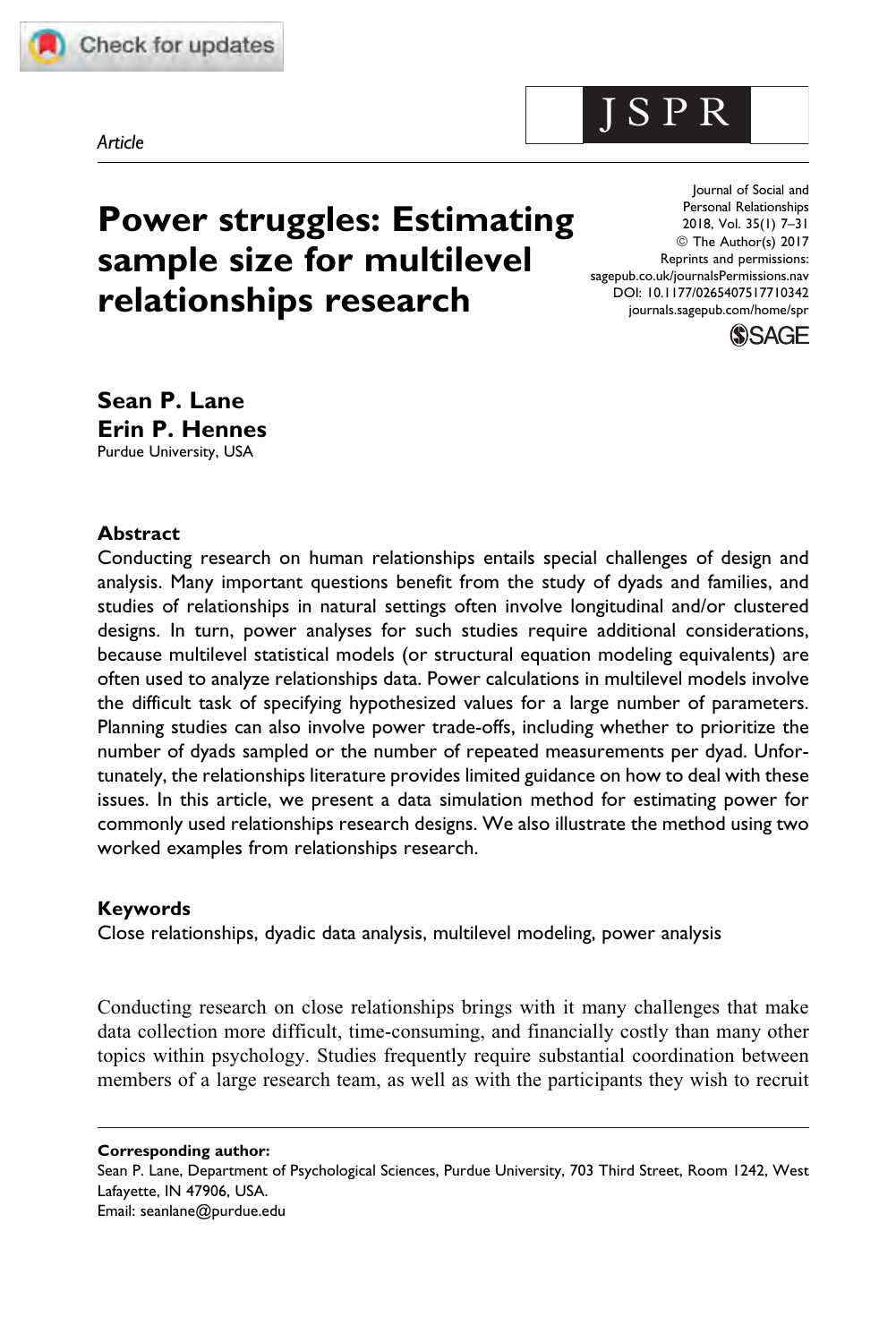



# Power struggles: Estimating sample size for multilevel relationships research

Journal of Social and Personal Relationships 2018, Vol. 35(1) 7–31 © The Author(s) 2017 Reprints and permissions: [sagepub.co.uk/journalsPermissions.nav](https://uk.sagepub.com/en-gb/journals-permissions) [DOI: 10.1177/0265407517710342](https://doi.org/10.1177/0265407517710342) [journals.sagepub.com/home/spr](http://journals.sagepub.com/home/spr)

J S P R



Sean P. Lane Erin P. Hennes Purdue University, USA

#### Abstract

Conducting research on human relationships entails special challenges of design and analysis. Many important questions benefit from the study of dyads and families, and studies of relationships in natural settings often involve longitudinal and/or clustered designs. In turn, power analyses for such studies require additional considerations, because multilevel statistical models (or structural equation modeling equivalents) are often used to analyze relationships data. Power calculations in multilevel models involve the difficult task of specifying hypothesized values for a large number of parameters. Planning studies can also involve power trade-offs, including whether to prioritize the number of dyads sampled or the number of repeated measurements per dyad. Unfortunately, the relationships literature provides limited guidance on how to deal with these issues. In this article, we present a data simulation method for estimating power for commonly used relationships research designs. We also illustrate the method using two worked examples from relationships research.

#### Keywords

Close relationships, dyadic data analysis, multilevel modeling, power analysis

Conducting research on close relationships brings with it many challenges that make data collection more difficult, time-consuming, and financially costly than many other topics within psychology. Studies frequently require substantial coordination between members of a large research team, as well as with the participants they wish to recruit

Corresponding author:

Sean P. Lane, Department of Psychological Sciences, Purdue University, 703 Third Street, Room 1242, West Lafayette, IN 47906, USA. Email: seanlane@purdue.edu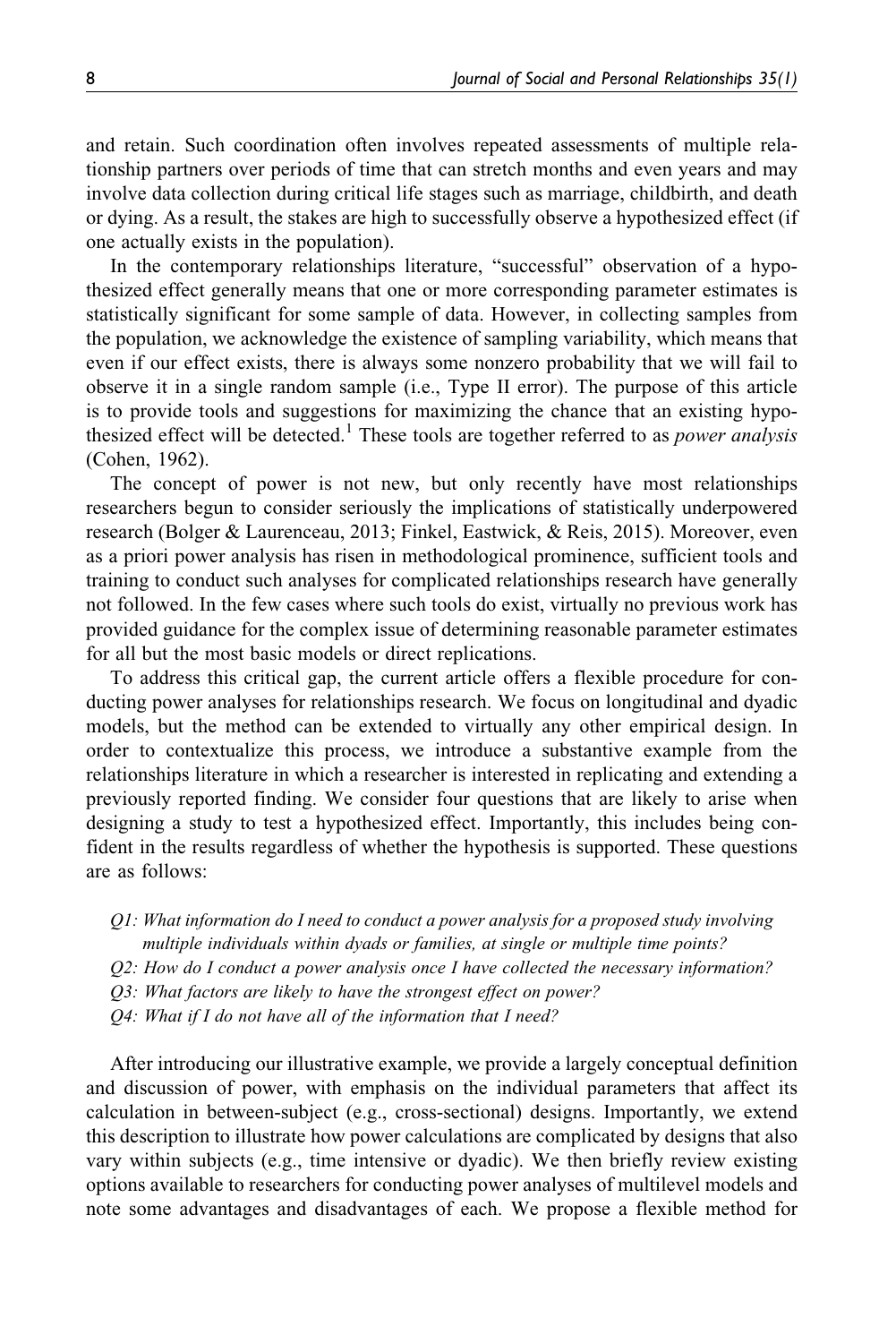and retain. Such coordination often involves repeated assessments of multiple relationship partners over periods of time that can stretch months and even years and may involve data collection during critical life stages such as marriage, childbirth, and death or dying. As a result, the stakes are high to successfully observe a hypothesized effect (if one actually exists in the population).

In the contemporary relationships literature, "successful" observation of a hypothesized effect generally means that one or more corresponding parameter estimates is statistically significant for some sample of data. However, in collecting samples from the population, we acknowledge the existence of sampling variability, which means that even if our effect exists, there is always some nonzero probability that we will fail to observe it in a single random sample (i.e., Type II error). The purpose of this article is to provide tools and suggestions for maximizing the chance that an existing hypothesized effect will be detected.<sup>1</sup> These tools are together referred to as *power analysis* (Cohen, 1962).

The concept of power is not new, but only recently have most relationships researchers begun to consider seriously the implications of statistically underpowered research (Bolger & Laurenceau, 2013; Finkel, Eastwick, & Reis, 2015). Moreover, even as a priori power analysis has risen in methodological prominence, sufficient tools and training to conduct such analyses for complicated relationships research have generally not followed. In the few cases where such tools do exist, virtually no previous work has provided guidance for the complex issue of determining reasonable parameter estimates for all but the most basic models or direct replications.

To address this critical gap, the current article offers a flexible procedure for conducting power analyses for relationships research. We focus on longitudinal and dyadic models, but the method can be extended to virtually any other empirical design. In order to contextualize this process, we introduce a substantive example from the relationships literature in which a researcher is interested in replicating and extending a previously reported finding. We consider four questions that are likely to arise when designing a study to test a hypothesized effect. Importantly, this includes being confident in the results regardless of whether the hypothesis is supported. These questions are as follows:

Q1: What information do I need to conduct a power analysis for a proposed study involving multiple individuals within dyads or families, at single or multiple time points?

Q2: How do I conduct a power analysis once I have collected the necessary information?

Q3: What factors are likely to have the strongest effect on power?

Q4: What if I do not have all of the information that I need?

After introducing our illustrative example, we provide a largely conceptual definition and discussion of power, with emphasis on the individual parameters that affect its calculation in between-subject (e.g., cross-sectional) designs. Importantly, we extend this description to illustrate how power calculations are complicated by designs that also vary within subjects (e.g., time intensive or dyadic). We then briefly review existing options available to researchers for conducting power analyses of multilevel models and note some advantages and disadvantages of each. We propose a flexible method for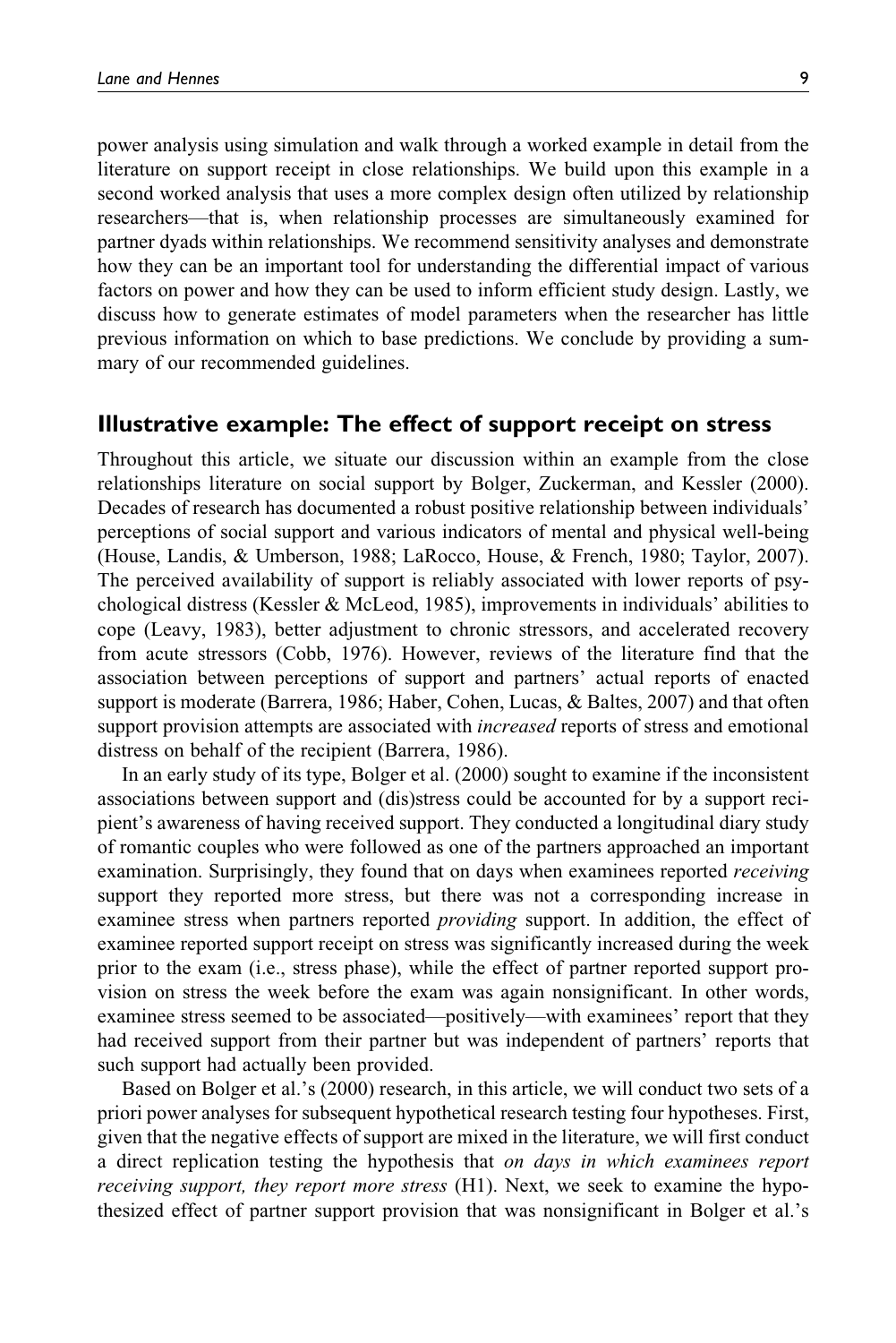power analysis using simulation and walk through a worked example in detail from the literature on support receipt in close relationships. We build upon this example in a second worked analysis that uses a more complex design often utilized by relationship researchers—that is, when relationship processes are simultaneously examined for partner dyads within relationships. We recommend sensitivity analyses and demonstrate how they can be an important tool for understanding the differential impact of various factors on power and how they can be used to inform efficient study design. Lastly, we discuss how to generate estimates of model parameters when the researcher has little previous information on which to base predictions. We conclude by providing a summary of our recommended guidelines.

#### Illustrative example: The effect of support receipt on stress

Throughout this article, we situate our discussion within an example from the close relationships literature on social support by Bolger, Zuckerman, and Kessler (2000). Decades of research has documented a robust positive relationship between individuals' perceptions of social support and various indicators of mental and physical well-being (House, Landis, & Umberson, 1988; LaRocco, House, & French, 1980; Taylor, 2007). The perceived availability of support is reliably associated with lower reports of psychological distress (Kessler & McLeod, 1985), improvements in individuals' abilities to cope (Leavy, 1983), better adjustment to chronic stressors, and accelerated recovery from acute stressors (Cobb, 1976). However, reviews of the literature find that the association between perceptions of support and partners' actual reports of enacted support is moderate (Barrera, 1986; Haber, Cohen, Lucas, & Baltes, 2007) and that often support provision attempts are associated with *increased* reports of stress and emotional distress on behalf of the recipient (Barrera, 1986).

In an early study of its type, Bolger et al. (2000) sought to examine if the inconsistent associations between support and (dis)stress could be accounted for by a support recipient's awareness of having received support. They conducted a longitudinal diary study of romantic couples who were followed as one of the partners approached an important examination. Surprisingly, they found that on days when examinees reported *receiving* support they reported more stress, but there was not a corresponding increase in examinee stress when partners reported *providing* support. In addition, the effect of examinee reported support receipt on stress was significantly increased during the week prior to the exam (i.e., stress phase), while the effect of partner reported support provision on stress the week before the exam was again nonsignificant. In other words, examinee stress seemed to be associated—positively—with examinees' report that they had received support from their partner but was independent of partners' reports that such support had actually been provided.

Based on Bolger et al.'s (2000) research, in this article, we will conduct two sets of a priori power analyses for subsequent hypothetical research testing four hypotheses. First, given that the negative effects of support are mixed in the literature, we will first conduct a direct replication testing the hypothesis that *on days in which examinees report* receiving support, they report more stress (H1). Next, we seek to examine the hypothesized effect of partner support provision that was nonsignificant in Bolger et al.'s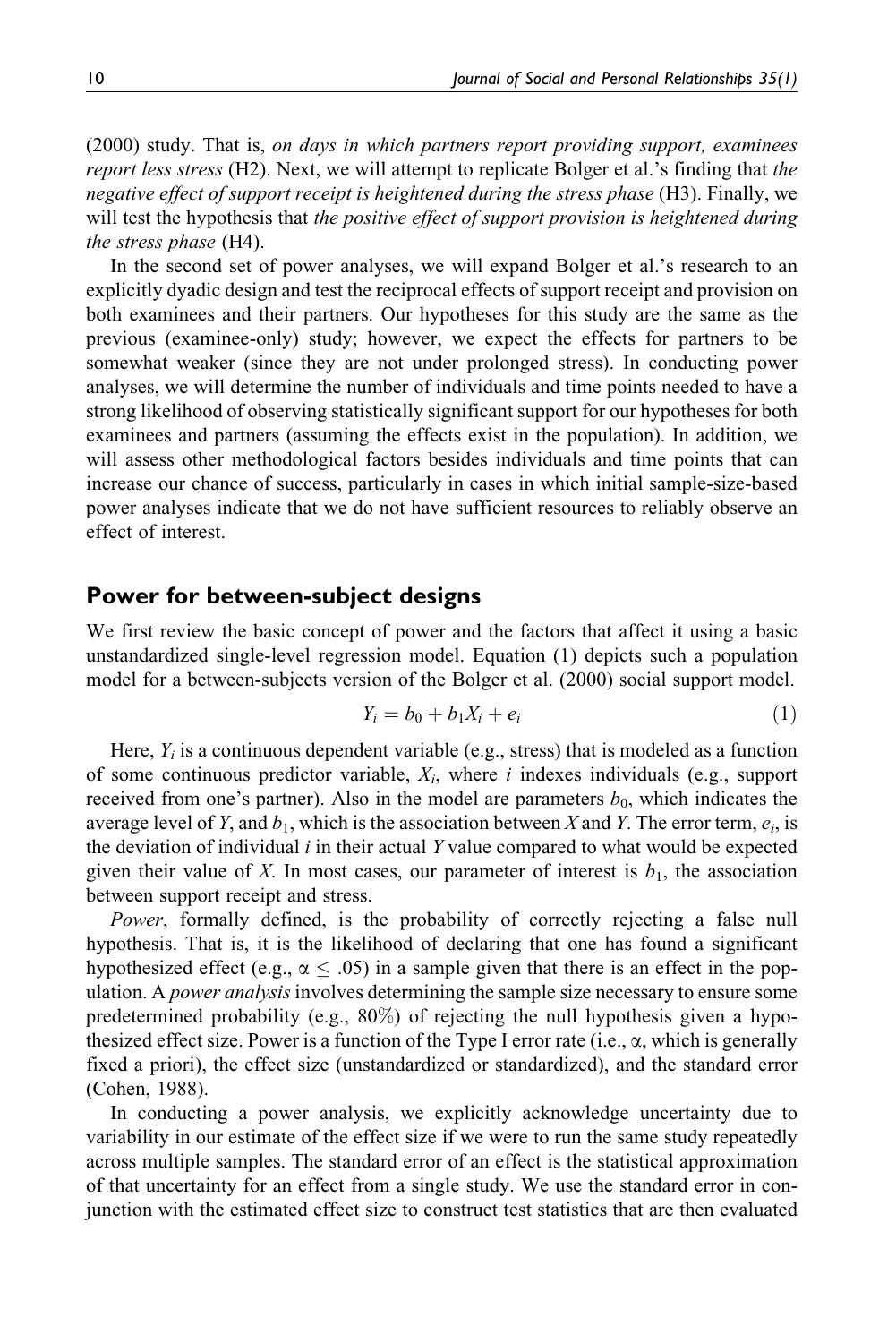(2000) study. That is, on days in which partners report providing support, examinees report less stress (H2). Next, we will attempt to replicate Bolger et al.'s finding that the negative effect of support receipt is heightened during the stress phase (H3). Finally, we will test the hypothesis that the positive effect of support provision is heightened during the stress phase (H4).

In the second set of power analyses, we will expand Bolger et al.'s research to an explicitly dyadic design and test the reciprocal effects of support receipt and provision on both examinees and their partners. Our hypotheses for this study are the same as the previous (examinee-only) study; however, we expect the effects for partners to be somewhat weaker (since they are not under prolonged stress). In conducting power analyses, we will determine the number of individuals and time points needed to have a strong likelihood of observing statistically significant support for our hypotheses for both examinees and partners (assuming the effects exist in the population). In addition, we will assess other methodological factors besides individuals and time points that can increase our chance of success, particularly in cases in which initial sample-size-based power analyses indicate that we do not have sufficient resources to reliably observe an effect of interest.

#### Power for between-subject designs

We first review the basic concept of power and the factors that affect it using a basic unstandardized single-level regression model. Equation (1) depicts such a population model for a between-subjects version of the Bolger et al. (2000) social support model.

$$
Y_i = b_0 + b_1 X_i + e_i \tag{1}
$$

Here,  $Y_i$  is a continuous dependent variable (e.g., stress) that is modeled as a function of some continuous predictor variable,  $X_i$ , where i indexes individuals (e.g., support received from one's partner). Also in the model are parameters  $b_0$ , which indicates the average level of Y, and  $b_1$ , which is the association between X and Y. The error term,  $e_i$ , is the deviation of individual  $i$  in their actual Y value compared to what would be expected given their value of X. In most cases, our parameter of interest is  $b_1$ , the association between support receipt and stress.

Power, formally defined, is the probability of correctly rejecting a false null hypothesis. That is, it is the likelihood of declaring that one has found a significant hypothesized effect (e.g.,  $\alpha \leq .05$ ) in a sample given that there is an effect in the population. A *power analysis* involves determining the sample size necessary to ensure some predetermined probability (e.g., 80%) of rejecting the null hypothesis given a hypothesized effect size. Power is a function of the Type I error rate (i.e.,  $\alpha$ , which is generally fixed a priori), the effect size (unstandardized or standardized), and the standard error (Cohen, 1988).

In conducting a power analysis, we explicitly acknowledge uncertainty due to variability in our estimate of the effect size if we were to run the same study repeatedly across multiple samples. The standard error of an effect is the statistical approximation of that uncertainty for an effect from a single study. We use the standard error in conjunction with the estimated effect size to construct test statistics that are then evaluated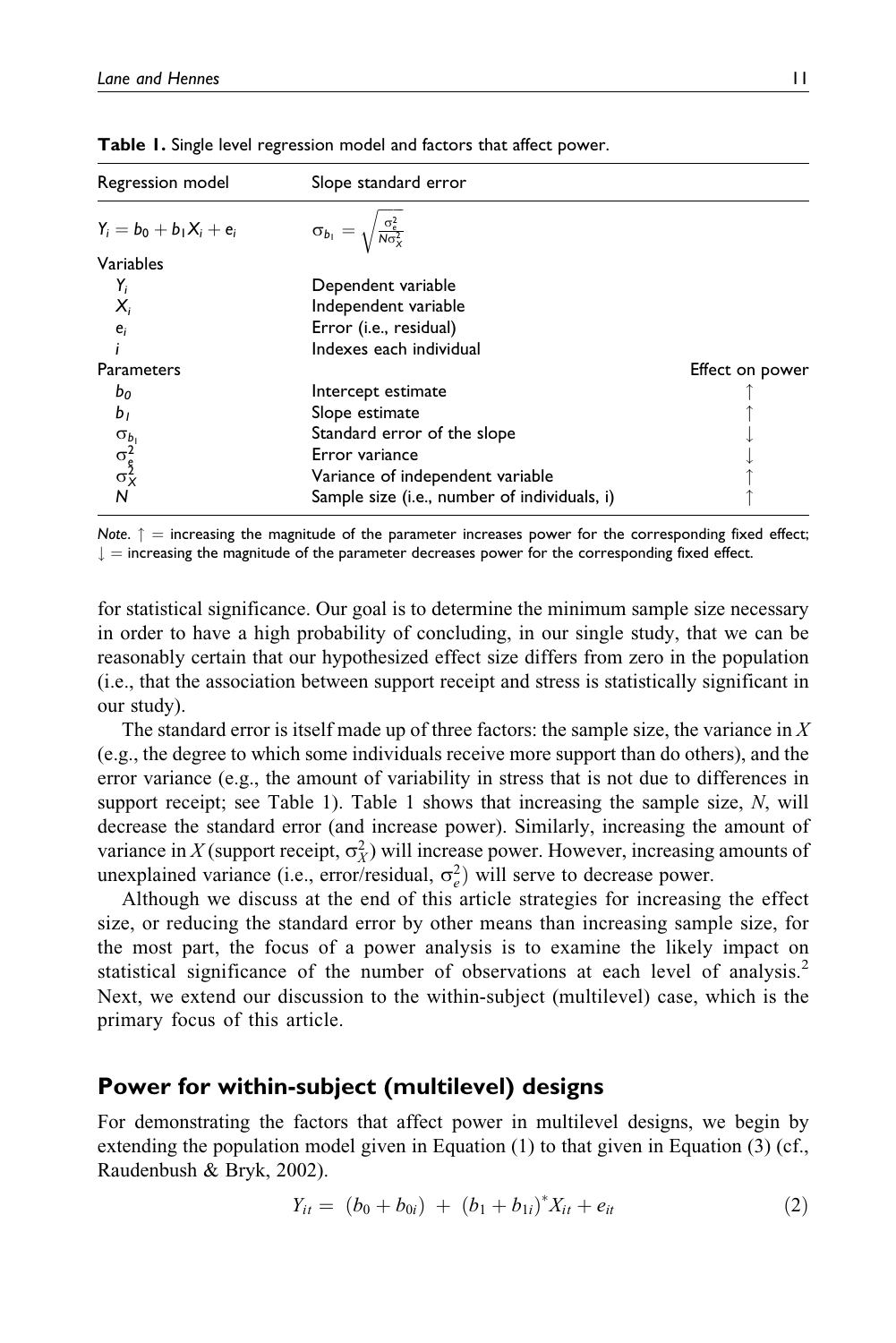| Regression model                     | Slope standard error                                   |                 |
|--------------------------------------|--------------------------------------------------------|-----------------|
| $Y_i = b_0 + b_1 X_i + e_i$          | $\sigma_{b_1} = \sqrt{\frac{\sigma_e^2}{N\sigma_X^2}}$ |                 |
| Variables                            |                                                        |                 |
| Y,                                   | Dependent variable                                     |                 |
| $X_i$                                | Independent variable                                   |                 |
| $e_i$                                | Error (i.e., residual)                                 |                 |
|                                      | Indexes each individual                                |                 |
| <b>Parameters</b>                    |                                                        | Effect on power |
| b <sub>o</sub>                       | Intercept estimate                                     |                 |
| b <sub>1</sub>                       | Slope estimate                                         |                 |
|                                      | Standard error of the slope                            |                 |
| $\sigma_{b_1}^2$<br>$\sigma_{c_2}^2$ | Error variance                                         |                 |
|                                      | Variance of independent variable                       |                 |
| N                                    | Sample size (i.e., number of individuals, i)           |                 |

Table 1. Single level regression model and factors that affect power.

Note.  $\uparrow$  = increasing the magnitude of the parameter increases power for the corresponding fixed effect;  $\downarrow$  = increasing the magnitude of the parameter decreases power for the corresponding fixed effect.

for statistical significance. Our goal is to determine the minimum sample size necessary in order to have a high probability of concluding, in our single study, that we can be reasonably certain that our hypothesized effect size differs from zero in the population (i.e., that the association between support receipt and stress is statistically significant in our study).

The standard error is itself made up of three factors: the sample size, the variance in  $X$ (e.g., the degree to which some individuals receive more support than do others), and the error variance (e.g., the amount of variability in stress that is not due to differences in support receipt; see Table 1). Table 1 shows that increasing the sample size,  $N$ , will decrease the standard error (and increase power). Similarly, increasing the amount of variance in X (support receipt,  $\sigma_X^2$ ) will increase power. However, increasing amounts of unexplained variance (i.e., error/residual,  $\sigma_e^2$ ) will serve to decrease power.

Although we discuss at the end of this article strategies for increasing the effect size, or reducing the standard error by other means than increasing sample size, for the most part, the focus of a power analysis is to examine the likely impact on statistical significance of the number of observations at each level of analysis.<sup>2</sup> Next, we extend our discussion to the within-subject (multilevel) case, which is the primary focus of this article.

## Power for within-subject (multilevel) designs

For demonstrating the factors that affect power in multilevel designs, we begin by extending the population model given in Equation (1) to that given in Equation (3) (cf., Raudenbush & Bryk, 2002).

$$
Y_{it} = (b_0 + b_{0i}) + (b_1 + b_{1i})^* X_{it} + e_{it}
$$
 (2)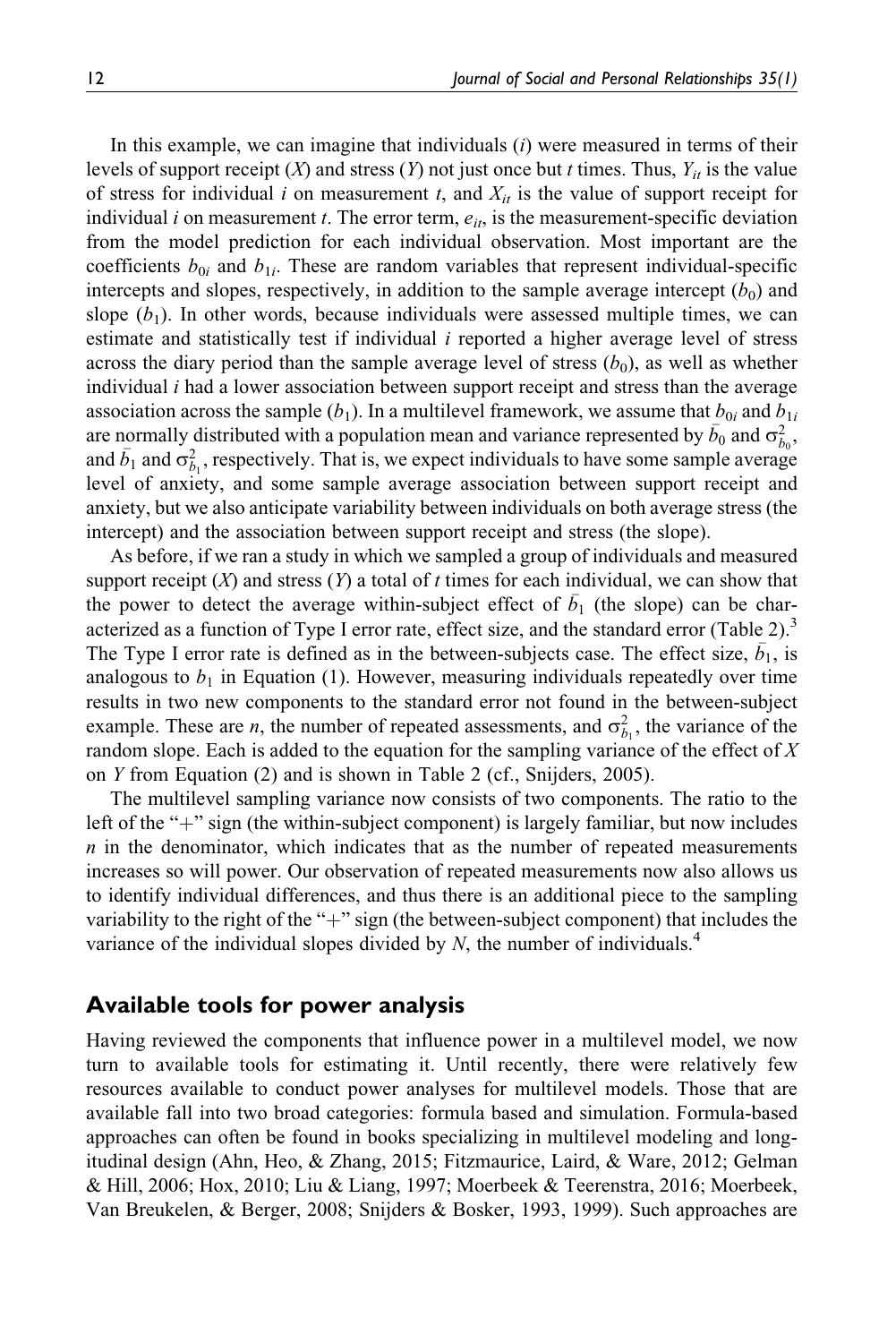In this example, we can imagine that individuals  $(i)$  were measured in terms of their levels of support receipt  $(X)$  and stress  $(Y)$  not just once but t times. Thus,  $Y_{it}$  is the value of stress for individual i on measurement t, and  $X_{it}$  is the value of support receipt for individual i on measurement t. The error term,  $e_{it}$ , is the measurement-specific deviation from the model prediction for each individual observation. Most important are the coefficients  $b_{0i}$  and  $b_{1i}$ . These are random variables that represent individual-specific intercepts and slopes, respectively, in addition to the sample average intercept  $(b_0)$  and slope  $(b_1)$ . In other words, because individuals were assessed multiple times, we can estimate and statistically test if individual  $i$  reported a higher average level of stress across the diary period than the sample average level of stress  $(b_0)$ , as well as whether individual  $i$  had a lower association between support receipt and stress than the average association across the sample  $(b_1)$ . In a multilevel framework, we assume that  $b_{0i}$  and  $b_{1i}$ are normally distributed with a population mean and variance represented by  $\bar{b}_0$  and  $\sigma_{b_0}^2$ , and  $\bar{b}_1$  and  $\sigma_{b_1}^2$ , respectively. That is, we expect individuals to have some sample average level of anxiety, and some sample average association between support receipt and anxiety, but we also anticipate variability between individuals on both average stress (the intercept) and the association between support receipt and stress (the slope).

As before, if we ran a study in which we sampled a group of individuals and measured support receipt  $(X)$  and stress  $(Y)$  a total of t times for each individual, we can show that the power to detect the average within-subject effect of  $\bar{b}_1$  (the slope) can be characterized as a function of Type I error rate, effect size, and the standard error (Table 2).<sup>3</sup> The Type I error rate is defined as in the between-subjects case. The effect size,  $\bar{b}_1$ , is analogous to  $b_1$  in Equation (1). However, measuring individuals repeatedly over time results in two new components to the standard error not found in the between-subject example. These are *n*, the number of repeated assessments, and  $\sigma_{b_1}^2$ , the variance of the random slope. Each is added to the equation for the sampling variance of the effect of X on Y from Equation (2) and is shown in Table 2 (cf., Snijders, 2005).

The multilevel sampling variance now consists of two components. The ratio to the left of the " $+$ " sign (the within-subject component) is largely familiar, but now includes  $n$  in the denominator, which indicates that as the number of repeated measurements increases so will power. Our observation of repeated measurements now also allows us to identify individual differences, and thus there is an additional piece to the sampling variability to the right of the " $+$ " sign (the between-subject component) that includes the variance of the individual slopes divided by  $N$ , the number of individuals.<sup>4</sup>

## Available tools for power analysis

Having reviewed the components that influence power in a multilevel model, we now turn to available tools for estimating it. Until recently, there were relatively few resources available to conduct power analyses for multilevel models. Those that are available fall into two broad categories: formula based and simulation. Formula-based approaches can often be found in books specializing in multilevel modeling and longitudinal design (Ahn, Heo, & Zhang, 2015; Fitzmaurice, Laird, & Ware, 2012; Gelman & Hill, 2006; Hox, 2010; Liu & Liang, 1997; Moerbeek & Teerenstra, 2016; Moerbeek, Van Breukelen, & Berger, 2008; Snijders & Bosker, 1993, 1999). Such approaches are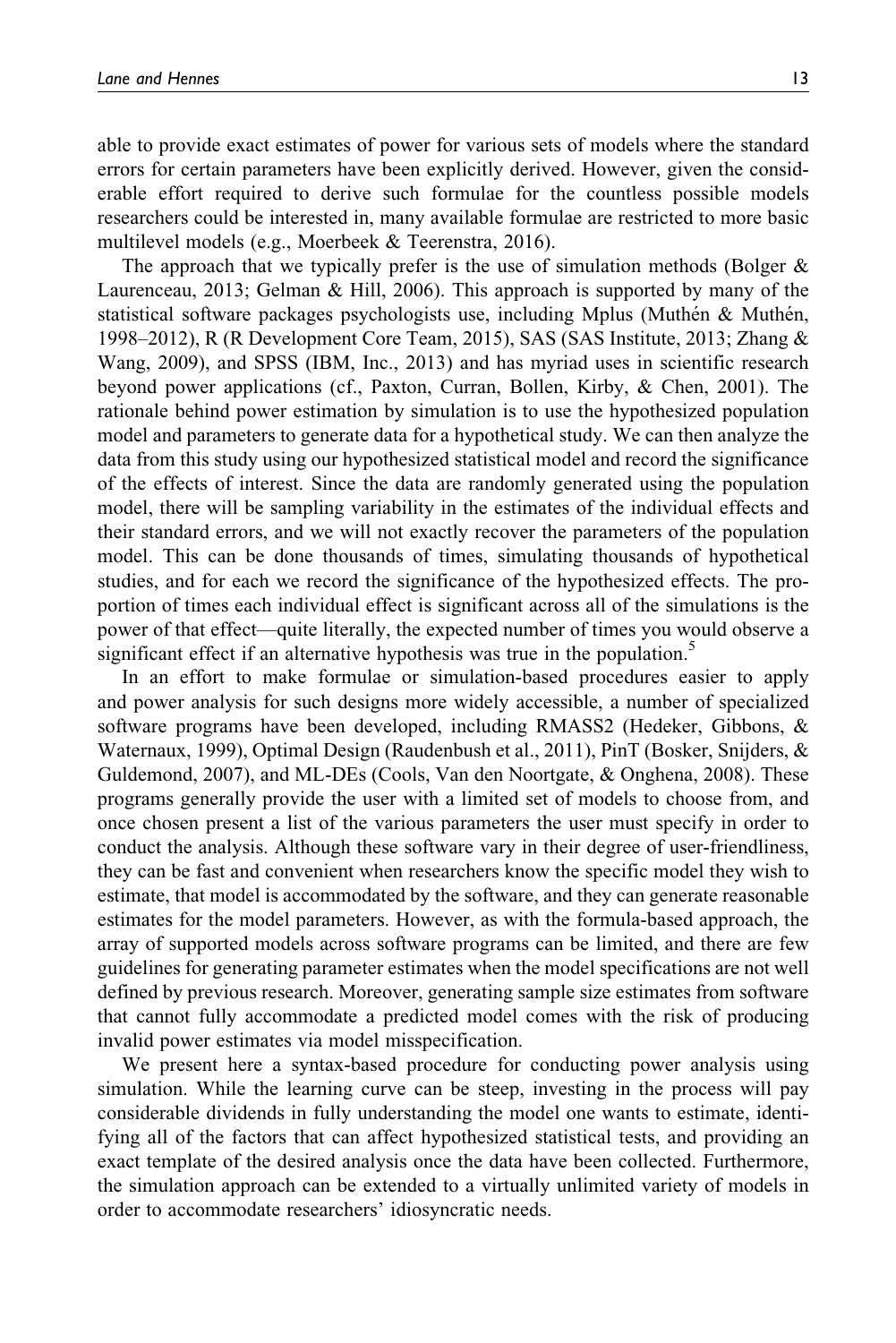able to provide exact estimates of power for various sets of models where the standard errors for certain parameters have been explicitly derived. However, given the considerable effort required to derive such formulae for the countless possible models researchers could be interested in, many available formulae are restricted to more basic multilevel models (e.g., Moerbeek & Teerenstra, 2016).

The approach that we typically prefer is the use of simulation methods (Bolger  $\&$ Laurenceau, 2013; Gelman & Hill, 2006). This approach is supported by many of the statistical software packages psychologists use, including Mplus (Muthén  $\&$  Muthén, 1998–2012), R (R Development Core Team, 2015), SAS (SAS Institute, 2013; Zhang & Wang, 2009), and SPSS (IBM, Inc., 2013) and has myriad uses in scientific research beyond power applications (cf., Paxton, Curran, Bollen, Kirby, & Chen, 2001). The rationale behind power estimation by simulation is to use the hypothesized population model and parameters to generate data for a hypothetical study. We can then analyze the data from this study using our hypothesized statistical model and record the significance of the effects of interest. Since the data are randomly generated using the population model, there will be sampling variability in the estimates of the individual effects and their standard errors, and we will not exactly recover the parameters of the population model. This can be done thousands of times, simulating thousands of hypothetical studies, and for each we record the significance of the hypothesized effects. The proportion of times each individual effect is significant across all of the simulations is the power of that effect—quite literally, the expected number of times you would observe a significant effect if an alternative hypothesis was true in the population.<sup>5</sup>

In an effort to make formulae or simulation-based procedures easier to apply and power analysis for such designs more widely accessible, a number of specialized software programs have been developed, including RMASS2 (Hedeker, Gibbons, & Waternaux, 1999), Optimal Design (Raudenbush et al., 2011), PinT (Bosker, Snijders, & Guldemond, 2007), and ML-DEs (Cools, Van den Noortgate, & Onghena, 2008). These programs generally provide the user with a limited set of models to choose from, and once chosen present a list of the various parameters the user must specify in order to conduct the analysis. Although these software vary in their degree of user-friendliness, they can be fast and convenient when researchers know the specific model they wish to estimate, that model is accommodated by the software, and they can generate reasonable estimates for the model parameters. However, as with the formula-based approach, the array of supported models across software programs can be limited, and there are few guidelines for generating parameter estimates when the model specifications are not well defined by previous research. Moreover, generating sample size estimates from software that cannot fully accommodate a predicted model comes with the risk of producing invalid power estimates via model misspecification.

We present here a syntax-based procedure for conducting power analysis using simulation. While the learning curve can be steep, investing in the process will pay considerable dividends in fully understanding the model one wants to estimate, identifying all of the factors that can affect hypothesized statistical tests, and providing an exact template of the desired analysis once the data have been collected. Furthermore, the simulation approach can be extended to a virtually unlimited variety of models in order to accommodate researchers' idiosyncratic needs.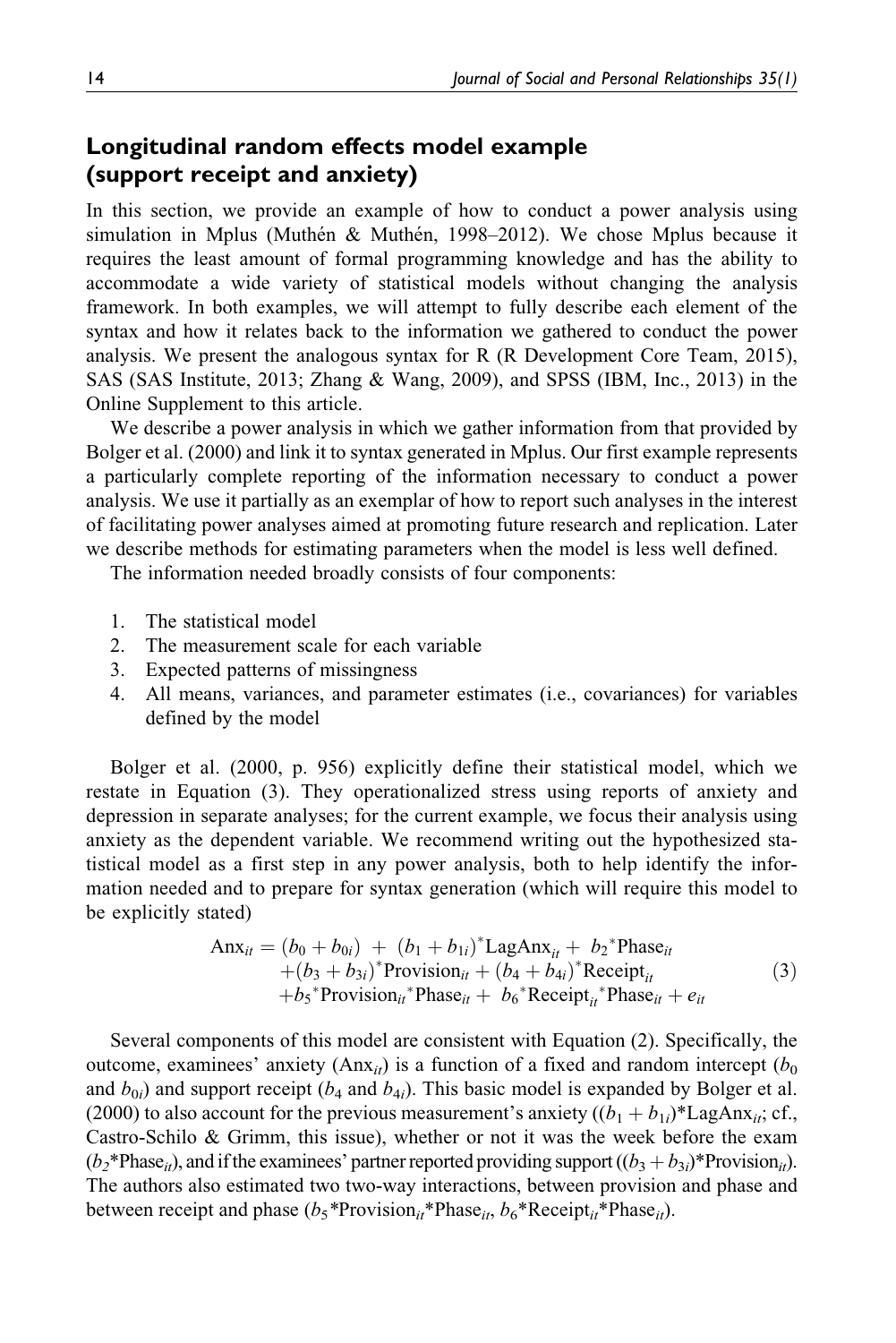## Longitudinal random effects model example (support receipt and anxiety)

In this section, we provide an example of how to conduct a power analysis using simulation in Mplus (Muthén & Muthén, 1998–2012). We chose Mplus because it requires the least amount of formal programming knowledge and has the ability to accommodate a wide variety of statistical models without changing the analysis framework. In both examples, we will attempt to fully describe each element of the syntax and how it relates back to the information we gathered to conduct the power analysis. We present the analogous syntax for R (R Development Core Team, 2015), SAS (SAS Institute, 2013; Zhang & Wang, 2009), and SPSS (IBM, Inc., 2013) in the Online Supplement to this article.

We describe a power analysis in which we gather information from that provided by Bolger et al. (2000) and link it to syntax generated in Mplus. Our first example represents a particularly complete reporting of the information necessary to conduct a power analysis. We use it partially as an exemplar of how to report such analyses in the interest of facilitating power analyses aimed at promoting future research and replication. Later we describe methods for estimating parameters when the model is less well defined.

The information needed broadly consists of four components:

- 1. The statistical model
- 2. The measurement scale for each variable
- 3. Expected patterns of missingness
- 4. All means, variances, and parameter estimates (i.e., covariances) for variables defined by the model

Bolger et al. (2000, p. 956) explicitly define their statistical model, which we restate in Equation (3). They operationalized stress using reports of anxiety and depression in separate analyses; for the current example, we focus their analysis using anxiety as the dependent variable. We recommend writing out the hypothesized statistical model as a first step in any power analysis, both to help identify the information needed and to prepare for syntax generation (which will require this model to be explicitly stated)

$$
\begin{aligned}\n\text{Anx}_{it} &= (b_0 + b_{0i}) + (b_1 + b_{1i})^* \text{LagAnx}_{it} + b_2^* \text{Phase}_{it} \\
&\quad + (b_3 + b_{3i})^* \text{Provision}_{it} + (b_4 + b_{4i})^* \text{Receipt}_{it} \\
&\quad + b_5^* \text{Provision}_{it}^* \text{Phase}_{it} + b_6^* \text{Receipt}_{it}^* \text{Phase}_{it} + e_{it}\n\end{aligned}\n\tag{3}
$$

Several components of this model are consistent with Equation (2). Specifically, the outcome, examinees' anxiety (Anx<sub>it</sub>) is a function of a fixed and random intercept ( $b_0$ ) and  $b_{0i}$ ) and support receipt ( $b_4$  and  $b_{4i}$ ). This basic model is expanded by Bolger et al. (2000) to also account for the previous measurement's anxiety  $((b_1 + b_{1i})^*$ LagAnx<sub>it</sub>; cf., Castro-Schilo & Grimm, this issue), whether or not it was the week before the exam  $(b_2^*Phase_{it})$ , and if the examinees' partner reported providing support  $((b_3+b_{3i})^*Provision_{it})$ . The authors also estimated two two-way interactions, between provision and phase and between receipt and phase  $(b_5 * \text{Provision}_{it} * \text{Phase}_{it}, b_6 * \text{Reception}_{it} * \text{Phase}_{it}).$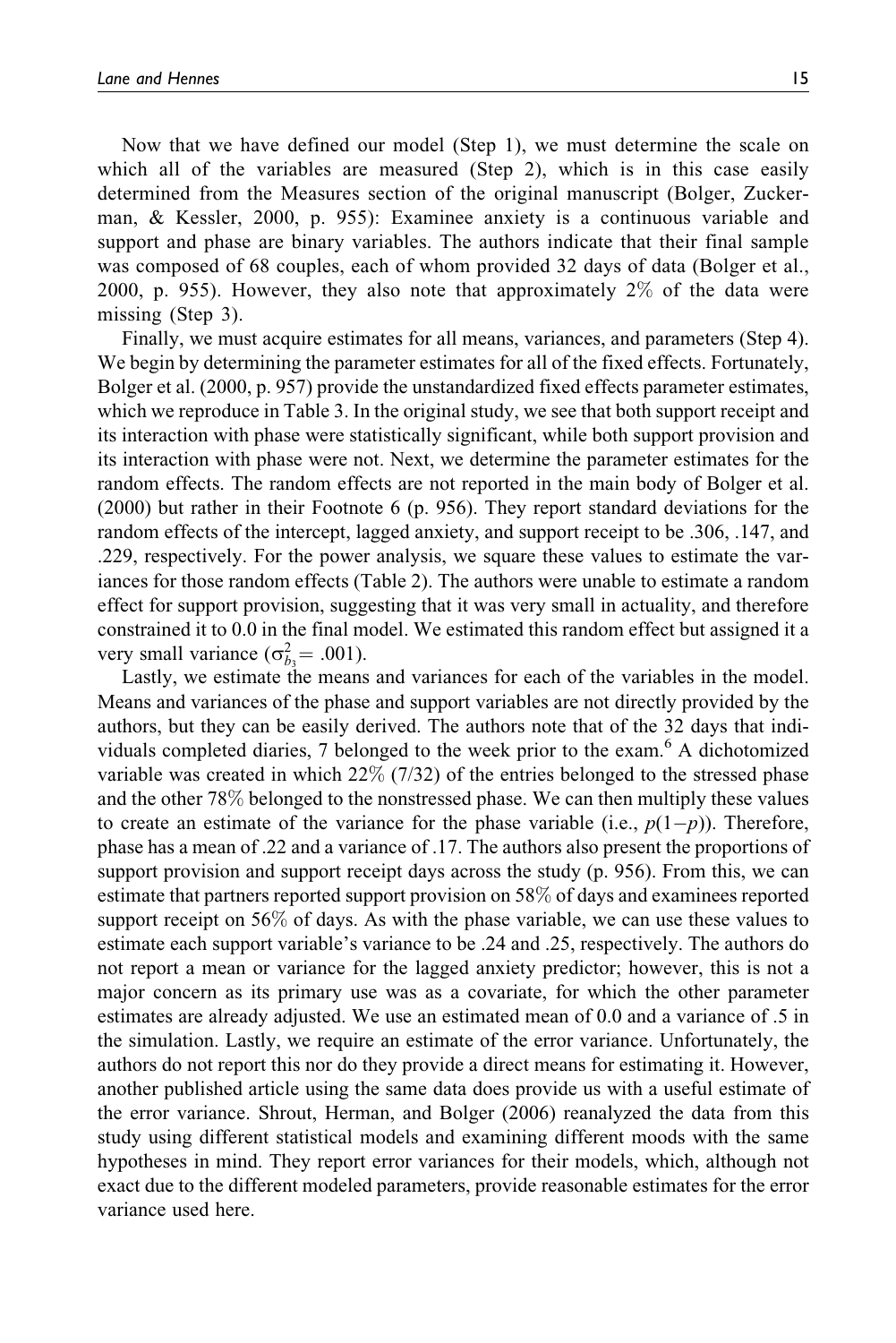Now that we have defined our model (Step 1), we must determine the scale on which all of the variables are measured (Step 2), which is in this case easily determined from the Measures section of the original manuscript (Bolger, Zuckerman, & Kessler, 2000, p. 955): Examinee anxiety is a continuous variable and support and phase are binary variables. The authors indicate that their final sample was composed of 68 couples, each of whom provided 32 days of data (Bolger et al., 2000, p. 955). However, they also note that approximately 2% of the data were missing (Step 3).

Finally, we must acquire estimates for all means, variances, and parameters (Step 4). We begin by determining the parameter estimates for all of the fixed effects. Fortunately, Bolger et al. (2000, p. 957) provide the unstandardized fixed effects parameter estimates, which we reproduce in Table 3. In the original study, we see that both support receipt and its interaction with phase were statistically significant, while both support provision and its interaction with phase were not. Next, we determine the parameter estimates for the random effects. The random effects are not reported in the main body of Bolger et al. (2000) but rather in their Footnote 6 (p. 956). They report standard deviations for the random effects of the intercept, lagged anxiety, and support receipt to be .306, .147, and .229, respectively. For the power analysis, we square these values to estimate the variances for those random effects (Table 2). The authors were unable to estimate a random effect for support provision, suggesting that it was very small in actuality, and therefore constrained it to 0.0 in the final model. We estimated this random effect but assigned it a very small variance ( $\sigma_{b_3}^2$  = .001).

Lastly, we estimate the means and variances for each of the variables in the model. Means and variances of the phase and support variables are not directly provided by the authors, but they can be easily derived. The authors note that of the 32 days that individuals completed diaries, 7 belonged to the week prior to the exam.<sup>6</sup> A dichotomized variable was created in which  $22\%$  (7/32) of the entries belonged to the stressed phase and the other 78% belonged to the nonstressed phase. We can then multiply these values to create an estimate of the variance for the phase variable (i.e.,  $p(1-p)$ ). Therefore, phase has a mean of .22 and a variance of .17. The authors also present the proportions of support provision and support receipt days across the study (p. 956). From this, we can estimate that partners reported support provision on 58% of days and examinees reported support receipt on 56% of days. As with the phase variable, we can use these values to estimate each support variable's variance to be .24 and .25, respectively. The authors do not report a mean or variance for the lagged anxiety predictor; however, this is not a major concern as its primary use was as a covariate, for which the other parameter estimates are already adjusted. We use an estimated mean of 0.0 and a variance of .5 in the simulation. Lastly, we require an estimate of the error variance. Unfortunately, the authors do not report this nor do they provide a direct means for estimating it. However, another published article using the same data does provide us with a useful estimate of the error variance. Shrout, Herman, and Bolger (2006) reanalyzed the data from this study using different statistical models and examining different moods with the same hypotheses in mind. They report error variances for their models, which, although not exact due to the different modeled parameters, provide reasonable estimates for the error variance used here.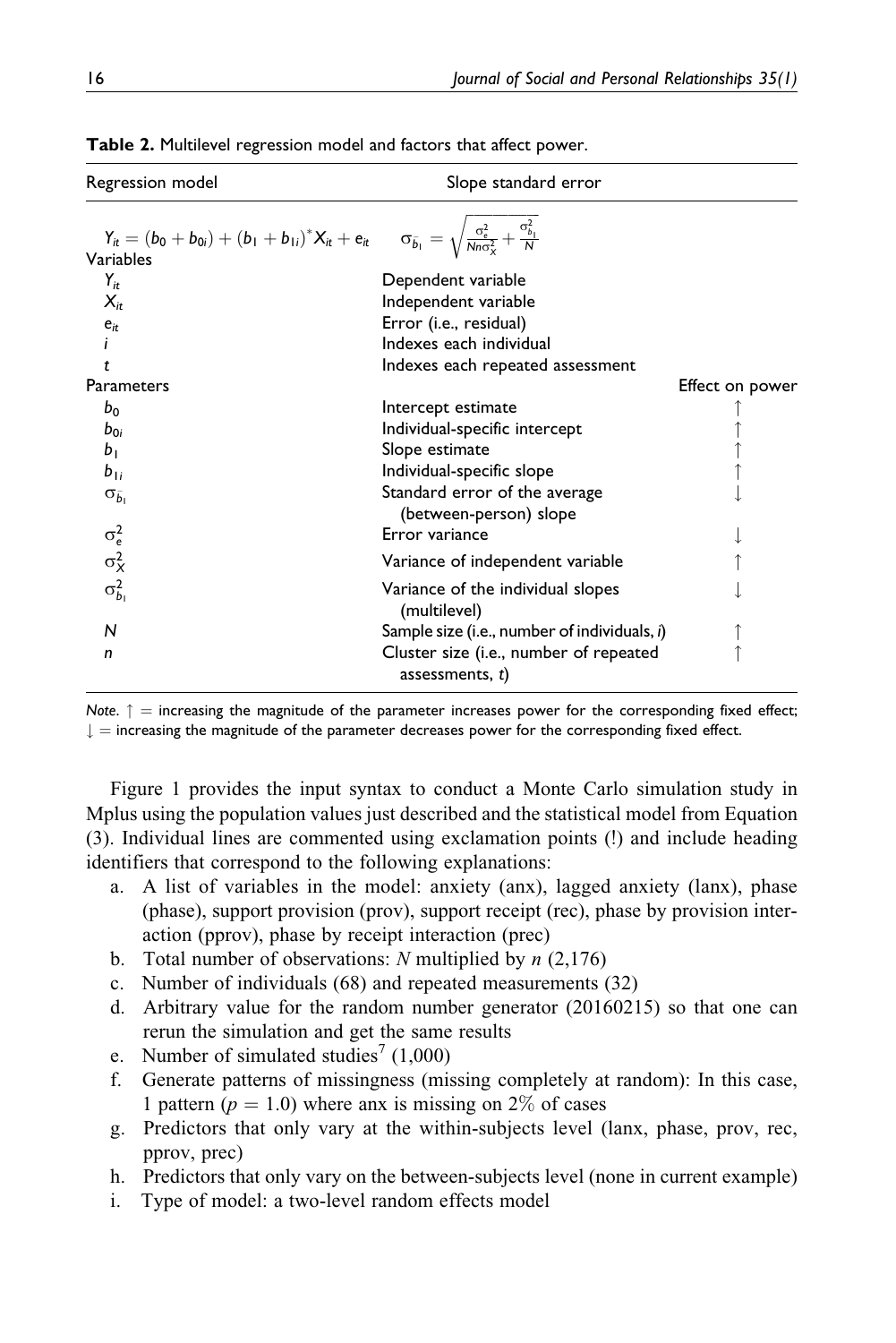| Regression model                                                                                                                                                     | Slope standard error                                         |                 |
|----------------------------------------------------------------------------------------------------------------------------------------------------------------------|--------------------------------------------------------------|-----------------|
| $Y_{it} = (b_0 + b_{0i}) + (b_1 + b_{1i})^* X_{it} + e_{it}$ $\sigma_{\bar{b}_1} = \sqrt{\frac{\sigma_e^2}{N n \sigma_x^2} + \frac{\sigma_{b_1}^2}{N}}$<br>Variables |                                                              |                 |
| $Y_{it}$                                                                                                                                                             | Dependent variable                                           |                 |
| $X_{it}$                                                                                                                                                             | Independent variable                                         |                 |
| $e_{it}$                                                                                                                                                             | Error (i.e., residual)                                       |                 |
|                                                                                                                                                                      | Indexes each individual                                      |                 |
| t                                                                                                                                                                    | Indexes each repeated assessment                             |                 |
| Parameters                                                                                                                                                           |                                                              | Effect on power |
| $b_0$                                                                                                                                                                | Intercept estimate                                           |                 |
| $b_{0i}$                                                                                                                                                             | Individual-specific intercept                                |                 |
| b <sub>1</sub>                                                                                                                                                       | Slope estimate                                               |                 |
| $b_{1i}$                                                                                                                                                             | Individual-specific slope                                    |                 |
| $\sigma_{\bar{b}}$                                                                                                                                                   | Standard error of the average<br>(between-person) slope      |                 |
|                                                                                                                                                                      | Error variance                                               |                 |
| $\sigma_e^2$<br>$\sigma_X^2$                                                                                                                                         | Variance of independent variable                             |                 |
| $\sigma_{b_1}^2$                                                                                                                                                     | Variance of the individual slopes<br>(multilevel)            |                 |
| N                                                                                                                                                                    | Sample size (i.e., number of individuals, i)                 |                 |
| n                                                                                                                                                                    | Cluster size (i.e., number of repeated<br>assessments, $t$ ) |                 |

Table 2. Multilevel regression model and factors that affect power.

Note.  $\uparrow$  = increasing the magnitude of the parameter increases power for the corresponding fixed effect;  $\downarrow$  = increasing the magnitude of the parameter decreases power for the corresponding fixed effect.

Figure 1 provides the input syntax to conduct a Monte Carlo simulation study in Mplus using the population values just described and the statistical model from Equation (3). Individual lines are commented using exclamation points (!) and include heading identifiers that correspond to the following explanations:

- a. A list of variables in the model: anxiety (anx), lagged anxiety (lanx), phase (phase), support provision (prov), support receipt (rec), phase by provision interaction (pprov), phase by receipt interaction (prec)
- b. Total number of observations: N multiplied by  $n(2,176)$
- c. Number of individuals (68) and repeated measurements (32)
- d. Arbitrary value for the random number generator (20160215) so that one can rerun the simulation and get the same results
- e. Number of simulated studies<sup>7</sup>  $(1,000)$
- f. Generate patterns of missingness (missing completely at random): In this case, 1 pattern ( $p = 1.0$ ) where anx is missing on 2\% of cases
- g. Predictors that only vary at the within-subjects level (lanx, phase, prov, rec, pprov, prec)
- h. Predictors that only vary on the between-subjects level (none in current example)
- i. Type of model: a two-level random effects model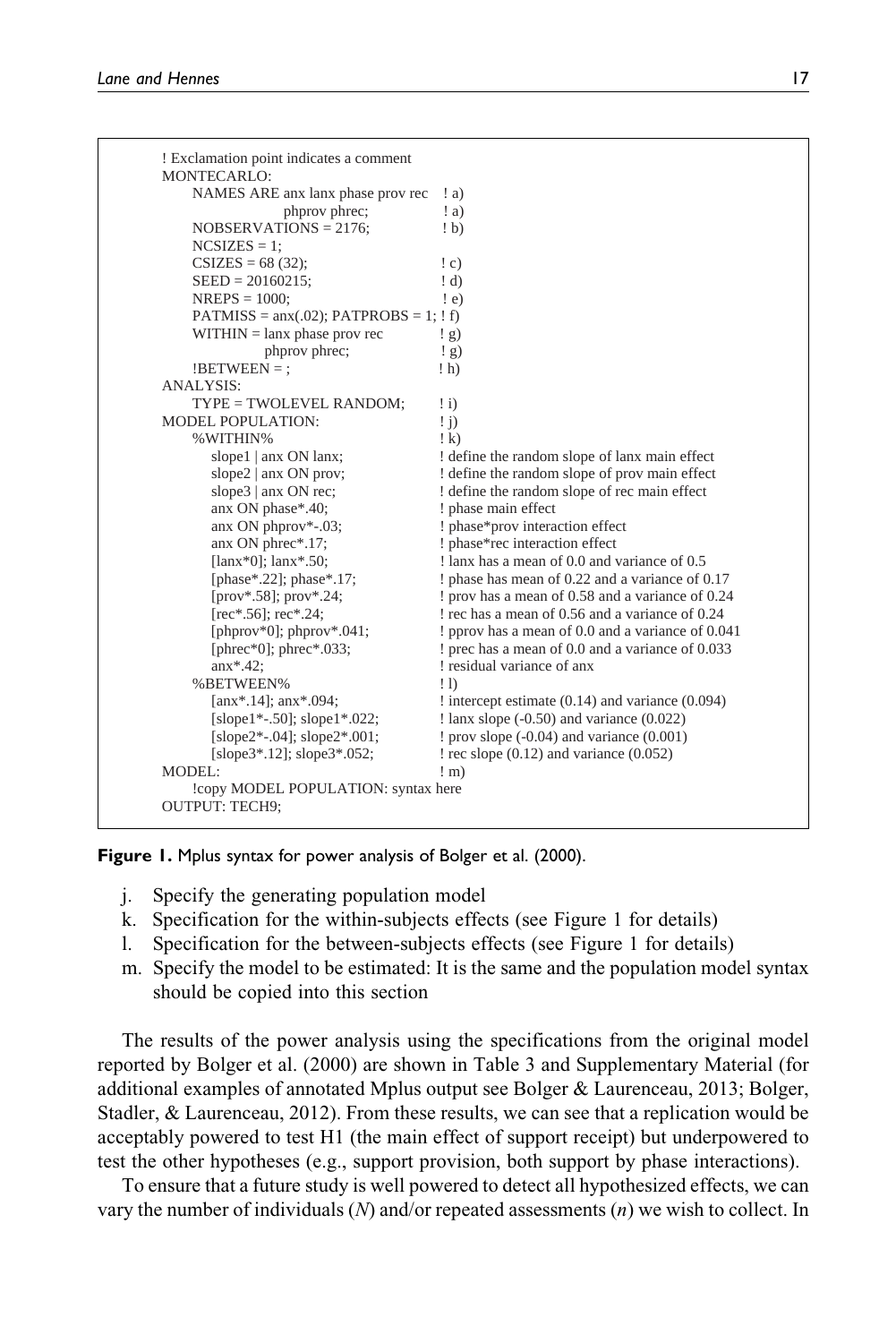| phprov phrec;<br>: a)<br>$NOBSERVATIONS = 2176;$<br>(b)<br>$NCSIZES = 1$ ;<br>$CSIZES = 68(32);$<br>$\mathfrak{c}$ )<br>$SEED = 20160215;$<br>: d)<br>$NREPS = 1000$ ;<br>$\pm$ e)<br>$PATMISS = \text{anx}(.02)$ ; $PATPROBS = 1$ ; $\text{! f}$ )<br>$WITHIN = \text{lanx phase}$ prov rec<br>$\frac{1}{2}$<br>phprov phrec;<br>$\left(\frac{1}{2}\right)$<br>$!BETWEEN =$ :<br>$\ln$<br><b>ANALYSIS:</b><br>TYPE = TWOLEVEL RANDOM;<br>$\pm i$<br><b>MODEL POPULATION:</b><br>$\pm$ j)<br>%WITHIN%<br>$\pm k$<br>slope1 $ $ anx ON lanx;<br>slope2 $ $ anx ON prov;<br>slope $3$   anx ON rec;<br>anx ON phase*.40; | ! define the random slope of lanx main effect<br>! define the random slope of prov main effect<br>! define the random slope of rec main effect |
|------------------------------------------------------------------------------------------------------------------------------------------------------------------------------------------------------------------------------------------------------------------------------------------------------------------------------------------------------------------------------------------------------------------------------------------------------------------------------------------------------------------------------------------------------------------------------------------------------------------------|------------------------------------------------------------------------------------------------------------------------------------------------|
|                                                                                                                                                                                                                                                                                                                                                                                                                                                                                                                                                                                                                        |                                                                                                                                                |
|                                                                                                                                                                                                                                                                                                                                                                                                                                                                                                                                                                                                                        |                                                                                                                                                |
|                                                                                                                                                                                                                                                                                                                                                                                                                                                                                                                                                                                                                        |                                                                                                                                                |
|                                                                                                                                                                                                                                                                                                                                                                                                                                                                                                                                                                                                                        |                                                                                                                                                |
|                                                                                                                                                                                                                                                                                                                                                                                                                                                                                                                                                                                                                        |                                                                                                                                                |
|                                                                                                                                                                                                                                                                                                                                                                                                                                                                                                                                                                                                                        |                                                                                                                                                |
|                                                                                                                                                                                                                                                                                                                                                                                                                                                                                                                                                                                                                        |                                                                                                                                                |
|                                                                                                                                                                                                                                                                                                                                                                                                                                                                                                                                                                                                                        |                                                                                                                                                |
|                                                                                                                                                                                                                                                                                                                                                                                                                                                                                                                                                                                                                        |                                                                                                                                                |
|                                                                                                                                                                                                                                                                                                                                                                                                                                                                                                                                                                                                                        |                                                                                                                                                |
|                                                                                                                                                                                                                                                                                                                                                                                                                                                                                                                                                                                                                        |                                                                                                                                                |
|                                                                                                                                                                                                                                                                                                                                                                                                                                                                                                                                                                                                                        |                                                                                                                                                |
|                                                                                                                                                                                                                                                                                                                                                                                                                                                                                                                                                                                                                        |                                                                                                                                                |
|                                                                                                                                                                                                                                                                                                                                                                                                                                                                                                                                                                                                                        |                                                                                                                                                |
|                                                                                                                                                                                                                                                                                                                                                                                                                                                                                                                                                                                                                        |                                                                                                                                                |
|                                                                                                                                                                                                                                                                                                                                                                                                                                                                                                                                                                                                                        |                                                                                                                                                |
|                                                                                                                                                                                                                                                                                                                                                                                                                                                                                                                                                                                                                        |                                                                                                                                                |
|                                                                                                                                                                                                                                                                                                                                                                                                                                                                                                                                                                                                                        | ! phase main effect                                                                                                                            |
| anx ON phprov*-.03;                                                                                                                                                                                                                                                                                                                                                                                                                                                                                                                                                                                                    | ! phase*prov interaction effect                                                                                                                |
| anx ON phrec*.17;                                                                                                                                                                                                                                                                                                                                                                                                                                                                                                                                                                                                      | ! phase*rec interaction effect                                                                                                                 |
| [ $lanx*0$ ]; $lanx*.50$ ;                                                                                                                                                                                                                                                                                                                                                                                                                                                                                                                                                                                             | ! lanx has a mean of 0.0 and variance of 0.5                                                                                                   |
| [phase*.22]; phase*.17;                                                                                                                                                                                                                                                                                                                                                                                                                                                                                                                                                                                                | ! phase has mean of 0.22 and a variance of 0.17                                                                                                |
| [prov*.58]; prov*.24;                                                                                                                                                                                                                                                                                                                                                                                                                                                                                                                                                                                                  | ! prov has a mean of 0.58 and a variance of 0.24                                                                                               |
| $[rec^*, 56]$ ; rec*.24;                                                                                                                                                                                                                                                                                                                                                                                                                                                                                                                                                                                               | ! rec has a mean of 0.56 and a variance of 0.24                                                                                                |
| [phprov*0]; phprov*.041;                                                                                                                                                                                                                                                                                                                                                                                                                                                                                                                                                                                               | pprov has a mean of 0.0 and a variance of 0.041                                                                                                |
| [phrec $*0$ ]; phrec $*033$ ;                                                                                                                                                                                                                                                                                                                                                                                                                                                                                                                                                                                          | ! prec has a mean of 0.0 and a variance of 0.033                                                                                               |
| $anx$ *.42;                                                                                                                                                                                                                                                                                                                                                                                                                                                                                                                                                                                                            | ! residual variance of anx                                                                                                                     |
| %BETWEEN%<br>$\overline{1}$                                                                                                                                                                                                                                                                                                                                                                                                                                                                                                                                                                                            |                                                                                                                                                |
| [anx*.14]; $anx$ *.094;                                                                                                                                                                                                                                                                                                                                                                                                                                                                                                                                                                                                | $:$ intercept estimate $(0.14)$ and variance $(0.094)$                                                                                         |
| [slope1*-.50]; slope1*.022;                                                                                                                                                                                                                                                                                                                                                                                                                                                                                                                                                                                            | $\frac{1}{2}$ lanx slope (-0.50) and variance (0.022)                                                                                          |
| [slope2*-.04]; slope2*.001;                                                                                                                                                                                                                                                                                                                                                                                                                                                                                                                                                                                            | $!$ prov slope $(-0.04)$ and variance $(0.001)$                                                                                                |
| [slope3 $*$ .12]; slope3 $*$ .052;                                                                                                                                                                                                                                                                                                                                                                                                                                                                                                                                                                                     | $!$ rec slope $(0.12)$ and variance $(0.052)$                                                                                                  |
| MODEL:<br>$! \text{ m}$                                                                                                                                                                                                                                                                                                                                                                                                                                                                                                                                                                                                |                                                                                                                                                |

Figure 1. Mplus syntax for power analysis of Bolger et al. (2000).

- j. Specify the generating population model
- k. Specification for the within-subjects effects (see Figure 1 for details)
- l. Specification for the between-subjects effects (see Figure 1 for details)
- m. Specify the model to be estimated: It is the same and the population model syntax should be copied into this section

The results of the power analysis using the specifications from the original model reported by Bolger et al. (2000) are shown in Table 3 and Supplementary Material (for additional examples of annotated Mplus output see Bolger & Laurenceau, 2013; Bolger, Stadler, & Laurenceau, 2012). From these results, we can see that a replication would be acceptably powered to test H1 (the main effect of support receipt) but underpowered to test the other hypotheses (e.g., support provision, both support by phase interactions).

To ensure that a future study is well powered to detect all hypothesized effects, we can vary the number of individuals  $(N)$  and/or repeated assessments  $(n)$  we wish to collect. In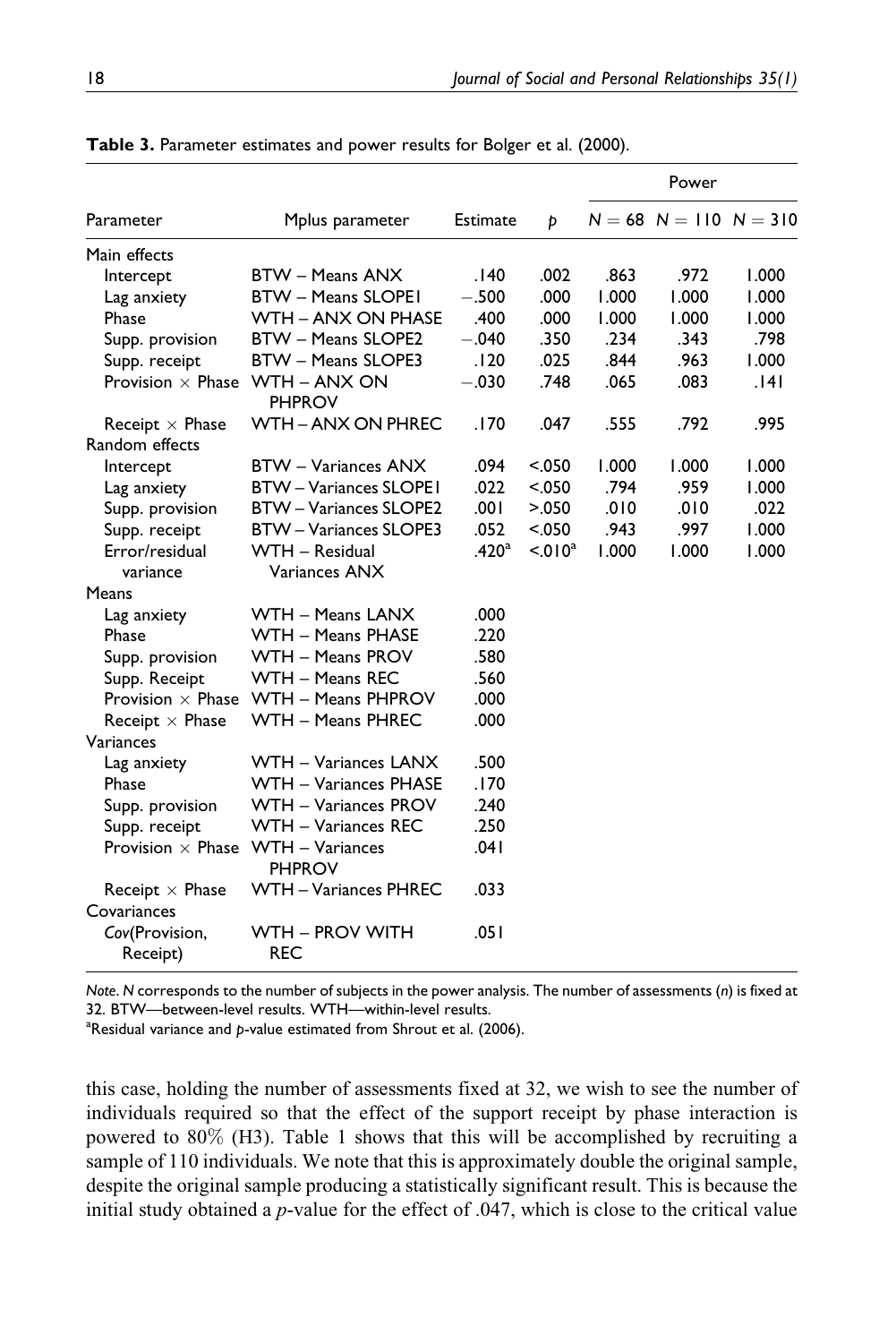|                            |                                             |                   |           |       | Power                        |       |
|----------------------------|---------------------------------------------|-------------------|-----------|-------|------------------------------|-------|
| Parameter                  | Mplus parameter                             | <b>Estimate</b>   | Þ         |       | $N = 68$ $N = 110$ $N = 310$ |       |
| Main effects               |                                             |                   |           |       |                              |       |
| Intercept                  | BTW - Means ANX                             | .140              | .002      | .863  | .972                         | 1.000 |
| Lag anxiety                | <b>BTW - Means SLOPEI</b>                   | $-.500$           | .000      | 1.000 | 1.000                        | 1.000 |
| Phase                      | WTH - ANX ON PHASE                          | .400              | .000      | 1.000 | 1.000                        | 1.000 |
| Supp. provision            | <b>BTW - Means SLOPE2</b>                   | $-.040$           | .350      | .234  | .343                         | .798  |
| Supp. receipt              | BTW - Means SLOPE3                          | .120              | .025      | .844  | .963                         | 1.000 |
| Provision $\times$ Phase   | WTH - ANX ON<br><b>PHPROV</b>               | $-.030$           | .748      | .065  | .083                         | .141  |
| Receipt $\times$ Phase     | <b>WTH - ANX ON PHREC</b>                   | .170              | .047      | .555  | .792                         | .995  |
| Random effects             |                                             |                   |           |       |                              |       |
| Intercept                  | <b>BTW</b> – Variances ANX                  | .094              | < .050    | 1.000 | 1.000                        | 1.000 |
| Lag anxiety                | <b>BTW-Variances SLOPE1</b>                 | .022              | < .050    | .794  | .959                         | 1.000 |
| Supp. provision            | BTW - Variances SLOPE2                      | .001              | > 0.050   | .010  | .010                         | .022  |
| Supp. receipt              | BTW - Variances SLOPE3                      | .052              | < .050    | .943  | .997                         | 1.000 |
| Error/residual             | WTH - Residual                              | .420 <sup>a</sup> | $< 010^a$ | 1.000 | 1.000                        | 1.000 |
| variance                   | Variances ANX                               |                   |           |       |                              |       |
| Means                      |                                             |                   |           |       |                              |       |
| Lag anxiety                | WTH – Means LANX                            | .000              |           |       |                              |       |
| Phase                      | WTH - Means PHASE                           | .220              |           |       |                              |       |
| Supp. provision            | WTH - Means PROV                            | .580              |           |       |                              |       |
| Supp. Receipt              | WTH - Means REC                             | .560              |           |       |                              |       |
|                            | Provision $\times$ Phase WTH – Means PHPROV | .000              |           |       |                              |       |
| Receipt $\times$ Phase     | WTH - Means PHREC                           | .000              |           |       |                              |       |
| Variances                  |                                             |                   |           |       |                              |       |
| Lag anxiety                | WTH - Variances LANX                        | .500              |           |       |                              |       |
| Phase                      | WTH - Variances PHASE                       | .170              |           |       |                              |       |
| Supp. provision            | WTH – Variances PROV                        | .240              |           |       |                              |       |
| Supp. receipt              | WTH – Variances REC                         | .250              |           |       |                              |       |
| Provision $\times$ Phase   | WTH - Variances<br>PHPROV                   | .041              |           |       |                              |       |
| Receipt $\times$ Phase     | <b>WTH - Variances PHREC</b>                | .033              |           |       |                              |       |
| Covariances                |                                             |                   |           |       |                              |       |
| Cov(Provision,<br>Receipt) | WTH - PROV WITH<br><b>REC</b>               | .051              |           |       |                              |       |

Table 3. Parameter estimates and power results for Bolger et al. (2000).

Note. N corresponds to the number of subjects in the power analysis. The number of assessments (n) is fixed at 32. BTW—between-level results. WTH—within-level results.

 $^{\rm a}$ Residual variance and p-value estimated from Shrout et al. (2006).

this case, holding the number of assessments fixed at 32, we wish to see the number of individuals required so that the effect of the support receipt by phase interaction is powered to 80% (H3). Table 1 shows that this will be accomplished by recruiting a sample of 110 individuals. We note that this is approximately double the original sample, despite the original sample producing a statistically significant result. This is because the initial study obtained a  $p$ -value for the effect of .047, which is close to the critical value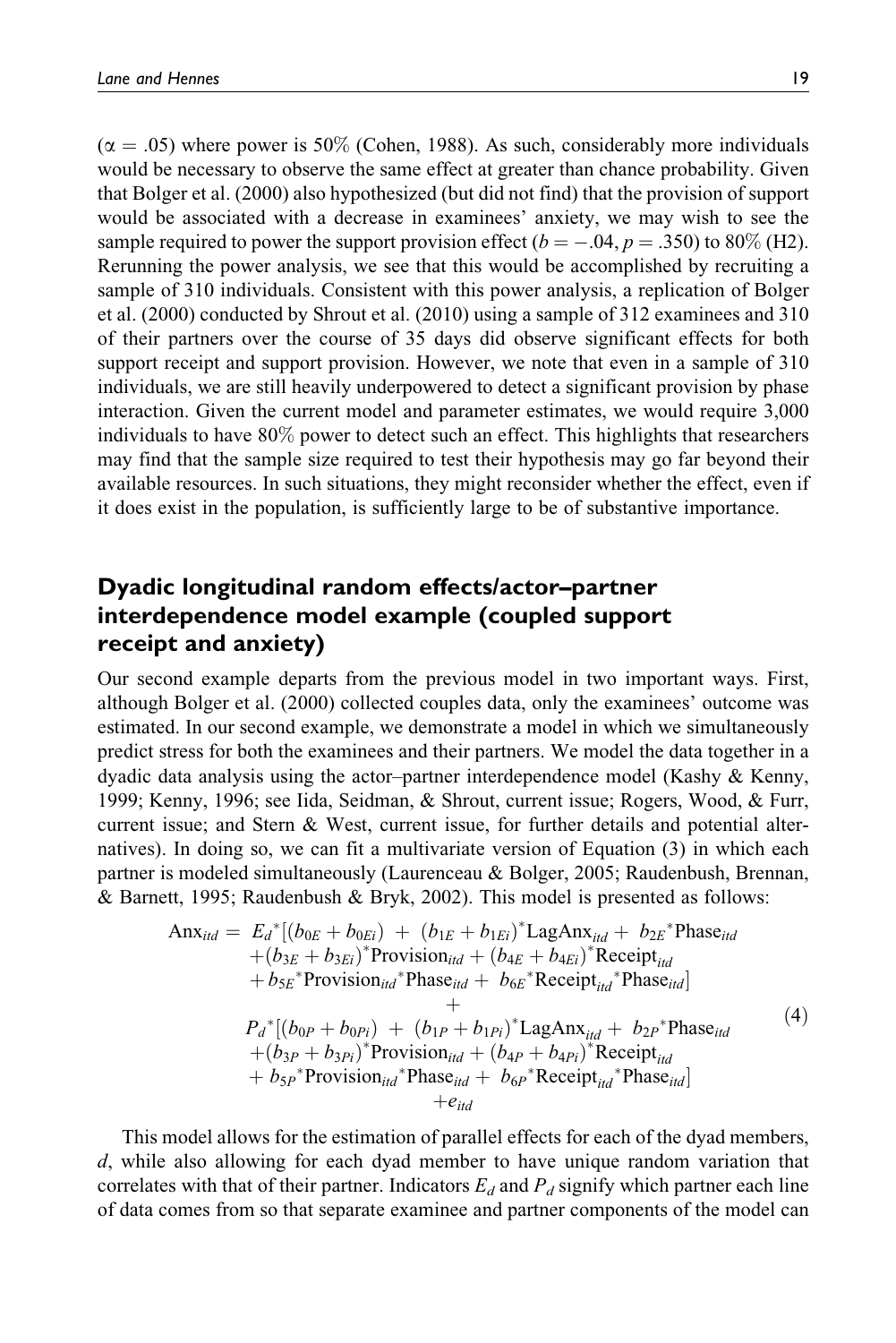$(\alpha = .05)$  where power is 50% (Cohen, 1988). As such, considerably more individuals would be necessary to observe the same effect at greater than chance probability. Given that Bolger et al. (2000) also hypothesized (but did not find) that the provision of support would be associated with a decrease in examinees' anxiety, we may wish to see the sample required to power the support provision effect ( $b = -.04$ ,  $p = .350$ ) to 80% (H2). Rerunning the power analysis, we see that this would be accomplished by recruiting a sample of 310 individuals. Consistent with this power analysis, a replication of Bolger et al. (2000) conducted by Shrout et al. (2010) using a sample of 312 examinees and 310 of their partners over the course of 35 days did observe significant effects for both support receipt and support provision. However, we note that even in a sample of 310 individuals, we are still heavily underpowered to detect a significant provision by phase interaction. Given the current model and parameter estimates, we would require 3,000 individuals to have 80% power to detect such an effect. This highlights that researchers may find that the sample size required to test their hypothesis may go far beyond their available resources. In such situations, they might reconsider whether the effect, even if it does exist in the population, is sufficiently large to be of substantive importance.

## Dyadic longitudinal random effects/actor–partner interdependence model example (coupled support receipt and anxiety)

Our second example departs from the previous model in two important ways. First, although Bolger et al. (2000) collected couples data, only the examinees' outcome was estimated. In our second example, we demonstrate a model in which we simultaneously predict stress for both the examinees and their partners. We model the data together in a dyadic data analysis using the actor–partner interdependence model (Kashy & Kenny, 1999; Kenny, 1996; see Iida, Seidman, & Shrout, current issue; Rogers, Wood, & Furr, current issue; and Stern & West, current issue, for further details and potential alternatives). In doing so, we can fit a multivariate version of Equation (3) in which each partner is modeled simultaneously (Laurenceau & Bolger, 2005; Raudenbush, Brennan, & Barnett, 1995; Raudenbush & Bryk, 2002). This model is presented as follows:

$$
Anxitd = Ed*[(b0E + b0Ei) + (b1E + b1Ei)* LagAnxitd + b2E* Phaseitd+ (b3E + b3Ei)* Provisionitd + (b4E + b4Ei)* Receiveritd+ b5E* Provisionitd* Phaseitd + b6E* Receiveritd* Phaseitd]+Pd*[(b0P + b0Pi) + (b1P + b1Pi)* LagAnxitd + b2P* Phaseitd+ (b3P + b3Pi)* Provisionitd + (b4P + b4Pi)* Receiveritd+ b5P* Provisionitd* Phaseitd + b6P* Receiveritd* Phaseitd]+eitd
$$

This model allows for the estimation of parallel effects for each of the dyad members, d, while also allowing for each dyad member to have unique random variation that correlates with that of their partner. Indicators  $E_d$  and  $P_d$  signify which partner each line of data comes from so that separate examinee and partner components of the model can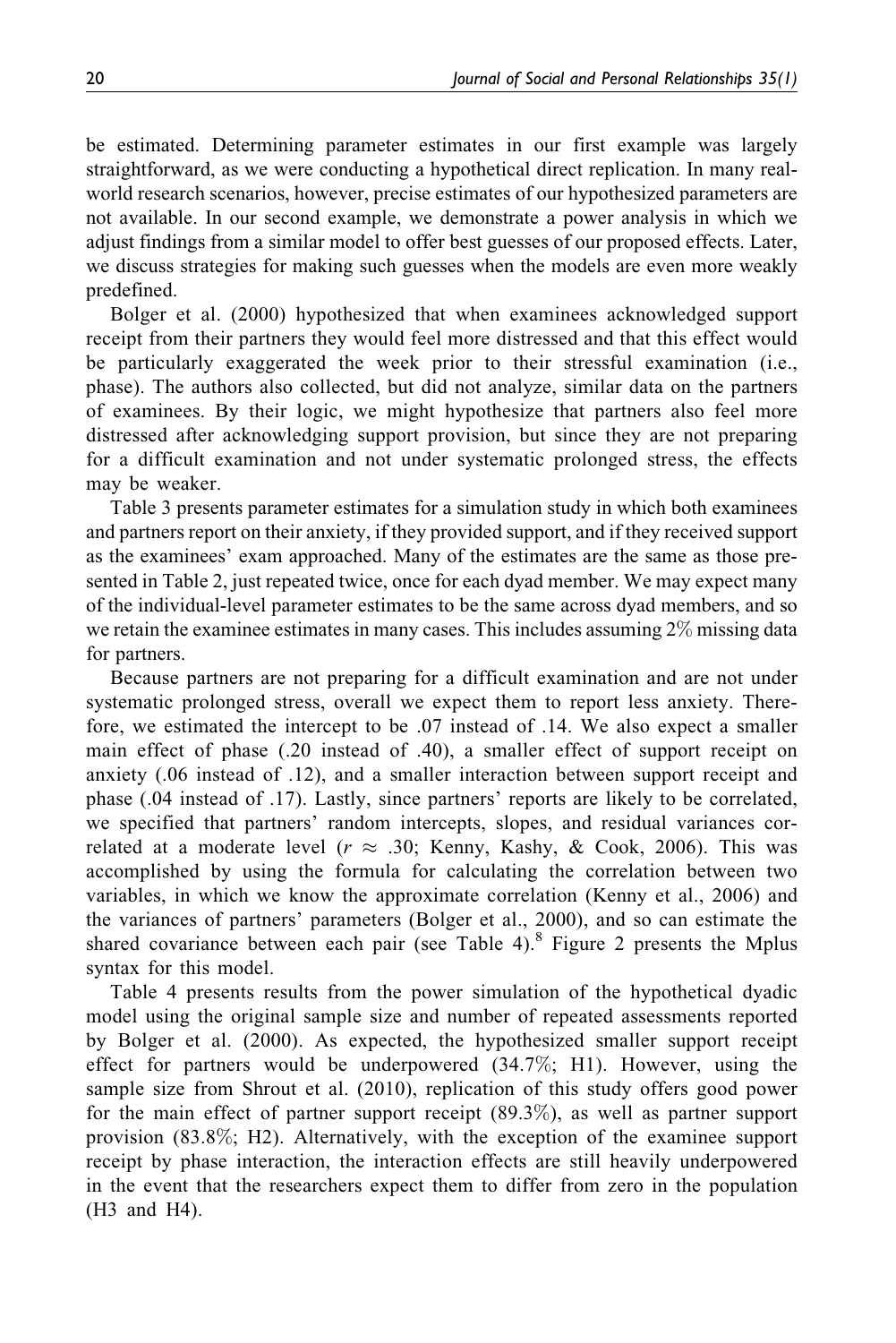be estimated. Determining parameter estimates in our first example was largely straightforward, as we were conducting a hypothetical direct replication. In many realworld research scenarios, however, precise estimates of our hypothesized parameters are not available. In our second example, we demonstrate a power analysis in which we adjust findings from a similar model to offer best guesses of our proposed effects. Later, we discuss strategies for making such guesses when the models are even more weakly predefined.

Bolger et al. (2000) hypothesized that when examinees acknowledged support receipt from their partners they would feel more distressed and that this effect would be particularly exaggerated the week prior to their stressful examination (i.e., phase). The authors also collected, but did not analyze, similar data on the partners of examinees. By their logic, we might hypothesize that partners also feel more distressed after acknowledging support provision, but since they are not preparing for a difficult examination and not under systematic prolonged stress, the effects may be weaker.

Table 3 presents parameter estimates for a simulation study in which both examinees and partners report on their anxiety, if they provided support, and if they received support as the examinees' exam approached. Many of the estimates are the same as those presented in Table 2, just repeated twice, once for each dyad member. We may expect many of the individual-level parameter estimates to be the same across dyad members, and so we retain the examinee estimates in many cases. This includes assuming 2% missing data for partners.

Because partners are not preparing for a difficult examination and are not under systematic prolonged stress, overall we expect them to report less anxiety. Therefore, we estimated the intercept to be .07 instead of .14. We also expect a smaller main effect of phase (.20 instead of .40), a smaller effect of support receipt on anxiety (.06 instead of .12), and a smaller interaction between support receipt and phase (.04 instead of .17). Lastly, since partners' reports are likely to be correlated, we specified that partners' random intercepts, slopes, and residual variances correlated at a moderate level ( $r \approx .30$ ; Kenny, Kashy, & Cook, 2006). This was accomplished by using the formula for calculating the correlation between two variables, in which we know the approximate correlation (Kenny et al., 2006) and the variances of partners' parameters (Bolger et al., 2000), and so can estimate the shared covariance between each pair (see Table 4).<sup>8</sup> Figure 2 presents the Mplus syntax for this model.

Table 4 presents results from the power simulation of the hypothetical dyadic model using the original sample size and number of repeated assessments reported by Bolger et al. (2000). As expected, the hypothesized smaller support receipt effect for partners would be underpowered (34.7%; H1). However, using the sample size from Shrout et al. (2010), replication of this study offers good power for the main effect of partner support receipt (89.3%), as well as partner support provision (83.8%; H2). Alternatively, with the exception of the examinee support receipt by phase interaction, the interaction effects are still heavily underpowered in the event that the researchers expect them to differ from zero in the population (H3 and H4).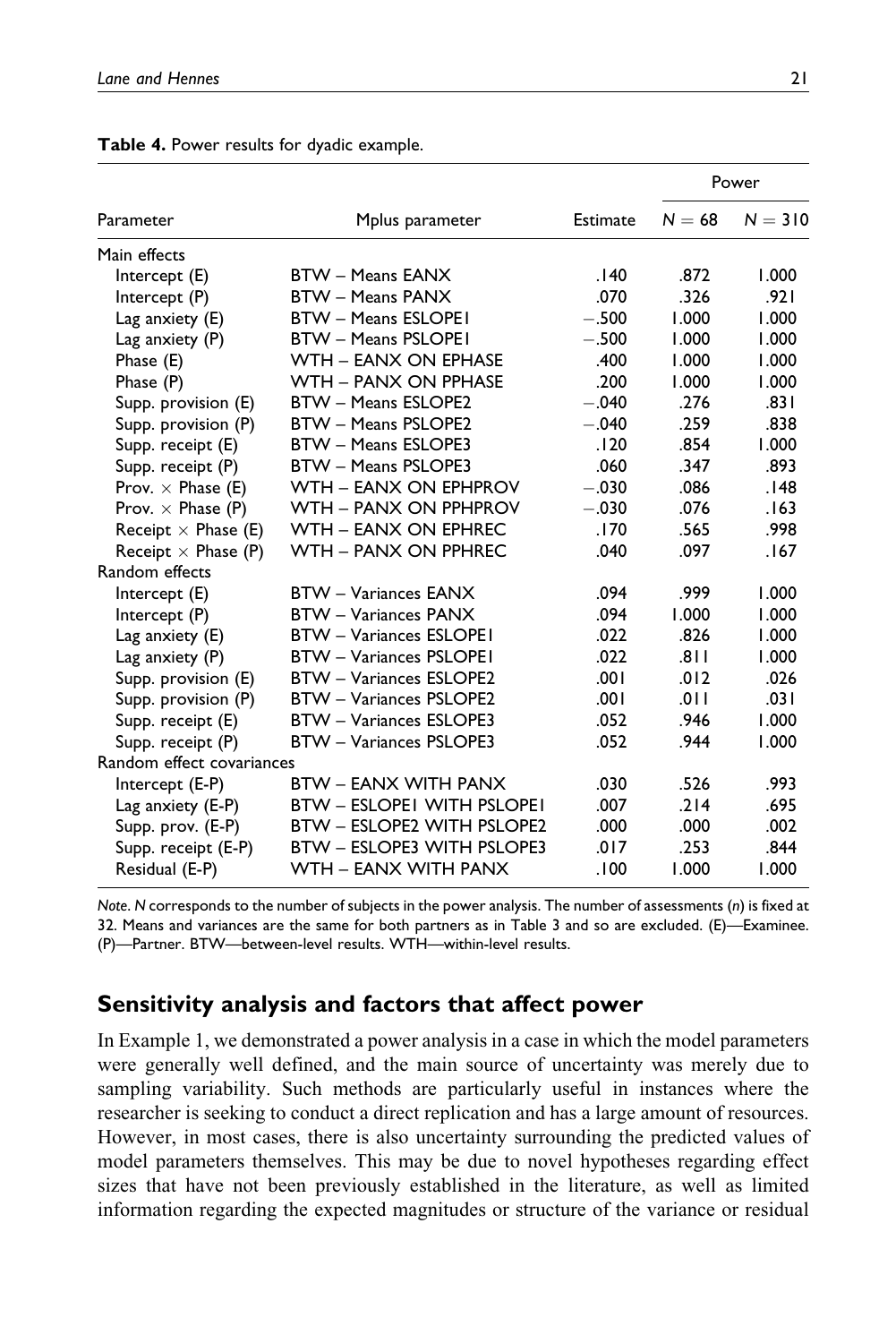|                            |                                   |          | Power    |           |
|----------------------------|-----------------------------------|----------|----------|-----------|
| Parameter                  | Mplus parameter                   | Estimate | $N = 68$ | $N = 310$ |
| Main effects               |                                   |          |          |           |
| Intercept (E)              | <b>BTW - Means EANX</b>           | .140     | .872     | 1.000     |
| Intercept (P)              | <b>BTW - Means PANX</b>           | .070     | .326     | .921      |
| Lag anxiety (E)            | <b>BTW - Means ESLOPEI</b>        | $-.500$  | 1.000    | 1.000     |
| Lag anxiety (P)            | <b>BTW - Means PSLOPEI</b>        | $-.500$  | 1.000    | 1.000     |
| Phase (E)                  | WTH - EANX ON EPHASE              | .400     | 1.000    | 1.000     |
| Phase (P)                  | WTH - PANX ON PPHASE              | .200     | 1.000    | 1.000     |
| Supp. provision (E)        | <b>BTW - Means ESLOPE2</b>        | $-.040$  | .276     | .831      |
| Supp. provision (P)        | <b>BTW - Means PSLOPE2</b>        | $-.040$  | .259     | .838      |
| Supp. receipt (E)          | <b>BTW - Means ESLOPE3</b>        | .120     | .854     | 1.000     |
| Supp. receipt (P)          | BTW - Means PSLOPE3               | .060     | .347     | .893      |
| Prov. $\times$ Phase (E)   | WTH - EANX ON EPHPROV             | $-.030$  | .086     | .148      |
| Prov. $\times$ Phase (P)   | WTH - PANX ON PPHPROV             | $-.030$  | .076     | .163      |
| Receipt $\times$ Phase (E) | WTH - EANX ON EPHREC              | .170     | .565     | .998      |
| Receipt $\times$ Phase (P) | WTH - PANX ON PPHREC              | .040     | .097     | .167      |
| Random effects             |                                   |          |          |           |
| Intercept (E)              | <b>BTW</b> - Variances EANX       | .094     | .999     | 1.000     |
| Intercept (P)              | <b>BTW</b> - Variances PANX       | .094     | 1.000    | 1.000     |
| Lag anxiety (E)            | <b>BTW - Variances ESLOPEI</b>    | .022     | .826     | 1.000     |
| Lag anxiety (P)            | <b>BTW - Variances PSLOPEI</b>    | .022     | .811     | 1.000     |
| Supp. provision (E)        | <b>BTW - Variances ESLOPE2</b>    | .001     | .012     | .026      |
| Supp. provision (P)        | <b>BTW - Variances PSLOPE2</b>    | .001     | .011     | .031      |
| Supp. receipt (E)          | <b>BTW - Variances ESLOPE3</b>    | .052     | .946     | 1.000     |
| Supp. receipt (P)          | <b>BTW</b> – Variances PSLOPE3    | .052     | .944     | 1.000     |
| Random effect covariances  |                                   |          |          |           |
| Intercept (E-P)            | <b>BTW - EANX WITH PANX</b>       | .030     | .526     | .993      |
| Lag anxiety (E-P)          | <b>BTW - ESLOPEI WITH PSLOPEI</b> | .007     | .214     | .695      |
| Supp. prov. (E-P)          | <b>BTW - ESLOPE2 WITH PSLOPE2</b> | .000     | .000     | .002      |
| Supp. receipt (E-P)        | <b>BTW - ESLOPE3 WITH PSLOPE3</b> | .017     | .253     | .844      |
| Residual (E-P)             | WTH - EANX WITH PANX              | .100     | 1.000    | 1.000     |

Note. N corresponds to the number of subjects in the power analysis. The number of assessments (n) is fixed at 32. Means and variances are the same for both partners as in Table 3 and so are excluded. (E)—Examinee. (P)—Partner. BTW—between-level results. WTH—within-level results.

## Sensitivity analysis and factors that affect power

In Example 1, we demonstrated a power analysis in a case in which the model parameters were generally well defined, and the main source of uncertainty was merely due to sampling variability. Such methods are particularly useful in instances where the researcher is seeking to conduct a direct replication and has a large amount of resources. However, in most cases, there is also uncertainty surrounding the predicted values of model parameters themselves. This may be due to novel hypotheses regarding effect sizes that have not been previously established in the literature, as well as limited information regarding the expected magnitudes or structure of the variance or residual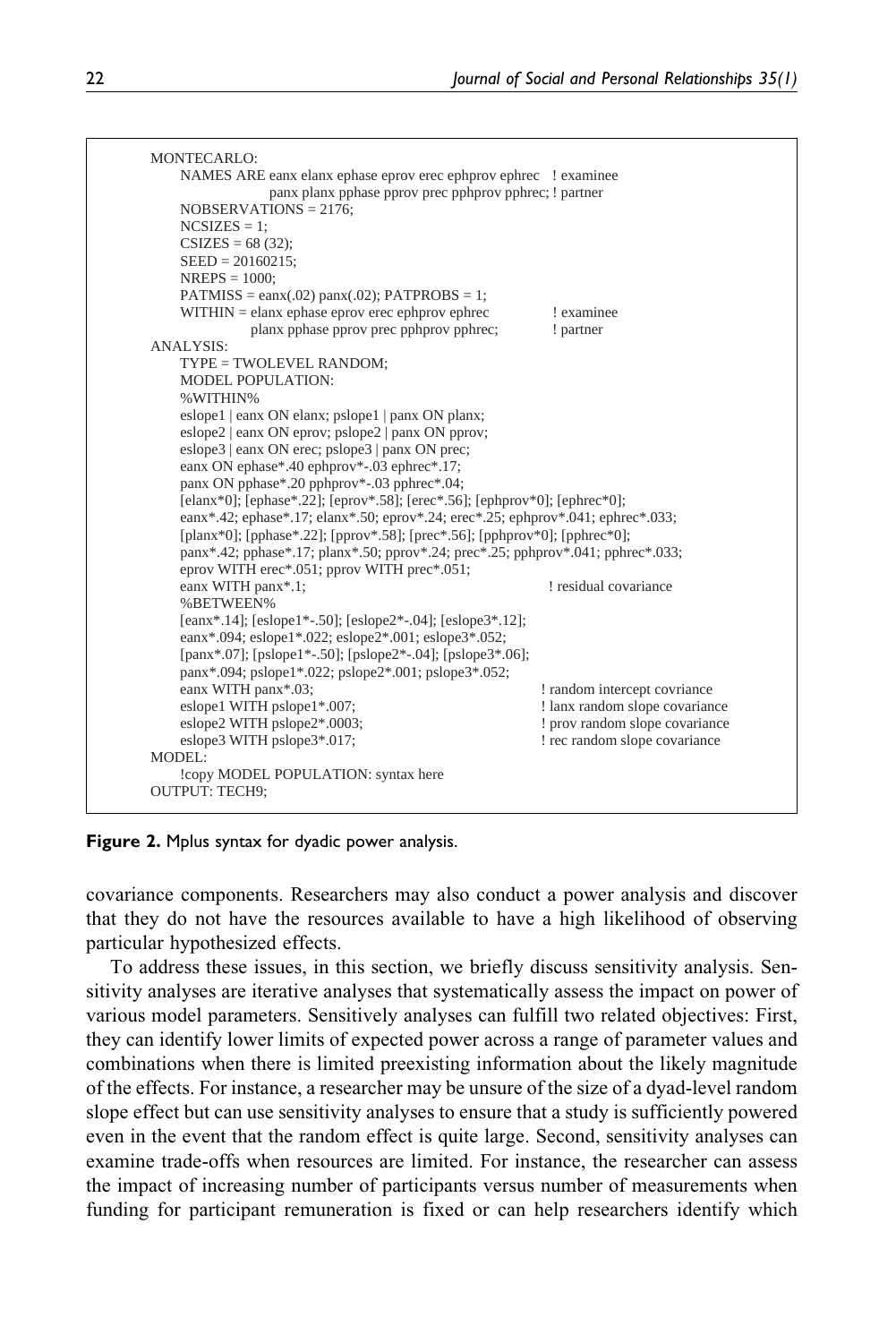```
MONTECARLO: 
     NAMES ARE eanx elanx ephase eprov erec ephprov ephrec ! examinee 
                    panx planx pphase pprov prec pphprov pphrec; ! partner 
     NOBSERVATIONS = 2176; 
    NCSIZES = 1;
    CSIZES = 68 (32); SEED = 20160215; 
     NREPS = 1000; 
    PATMISS = eanx(.02) panx(.02); PATPROBS = 1;
    WITHIN = elanx ephase eprov erec ephprov ephrec ! examinee<br>
planx phase phrov prec pphprov phrec:<br>
l partner
                planx pphase pprov prec pphprov pphrec;
ANALYSIS: 
     TYPE = TWOLEVEL RANDOM; 
     MODEL POPULATION: 
     %WITHIN% 
     eslope1 | eanx ON elanx; pslope1 | panx ON planx; 
     eslope2 | eanx ON eprov; pslope2 | panx ON pprov; 
     eslope3 | eanx ON erec; pslope3 | panx ON prec; 
     eanx ON ephase*.40 ephprov*-.03 ephrec*.17; 
     panx ON pphase*.20 pphprov*-.03 pphrec*.04; 
    [elanx*0]; [ephase*.22]; [eprov*.58]; [erec*.56]; [ephprov*0]; [ephrec*0];
     eanx*.42; ephase*.17; elanx*.50; eprov*.24; erec*.25; ephprov*.041; ephrec*.033; 
     [planx*0]; [pphase*.22]; [pprov*.58]; [prec*.56]; [pphprov*0]; [pphrec*0]; 
     panx*.42; pphase*.17; planx*.50; pprov*.24; prec*.25; pphprov*.041; pphrec*.033; 
     eprov WITH erec*.051; pprov WITH prec*.051; 
    eanx WITH panx*.1; \qquad \qquad residual covariance
     %BETWEEN% 
     [eanx*.14]; [eslope1*-.50]; [eslope2*-.04]; [eslope3*.12]; 
     eanx*.094; eslope1*.022; eslope2*.001; eslope3*.052; 
     [panx*.07]; [pslope1*-.50]; [pslope2*-.04]; [pslope3*.06]; 
     panx*.094; pslope1*.022; pslope2*.001; pslope3*.052; 
    eanx WITH panx*.03;<br>
eslope1 WITH pslope1*.007;<br>
lanx random slope covariance
    eslope1 WITH pslope1*.007;<br>
eslope2 WITH pslope2*.0003;<br>
! prov random slope covariance
                                                               ! prov random slope covariance<br>! rec random slope covariance
    eslope3 WITH pslope3*.017;
MODEL: 
     !copy MODEL POPULATION: syntax here 
OUTPUT: TECH9;
```
**Figure 2.** Mplus syntax for dyadic power analysis.

covariance components. Researchers may also conduct a power analysis and discover that they do not have the resources available to have a high likelihood of observing particular hypothesized effects.

To address these issues, in this section, we briefly discuss sensitivity analysis. Sensitivity analyses are iterative analyses that systematically assess the impact on power of various model parameters. Sensitively analyses can fulfill two related objectives: First, they can identify lower limits of expected power across a range of parameter values and combinations when there is limited preexisting information about the likely magnitude of the effects. For instance, a researcher may be unsure of the size of a dyad-level random slope effect but can use sensitivity analyses to ensure that a study is sufficiently powered even in the event that the random effect is quite large. Second, sensitivity analyses can examine trade-offs when resources are limited. For instance, the researcher can assess the impact of increasing number of participants versus number of measurements when funding for participant remuneration is fixed or can help researchers identify which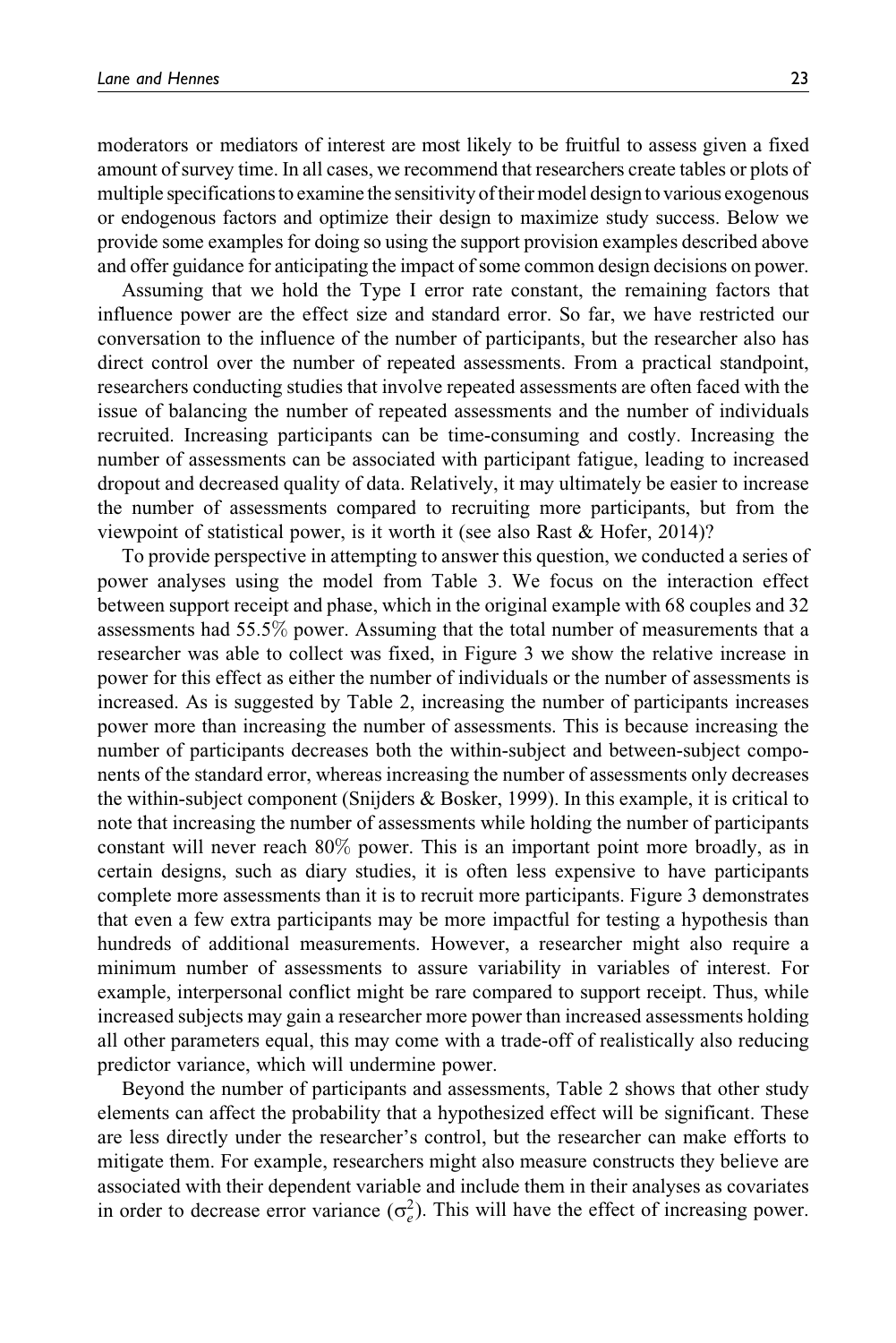moderators or mediators of interest are most likely to be fruitful to assess given a fixed amount of survey time. In all cases, we recommend that researchers create tables or plots of multiple specifications to examine the sensitivity of their model design to various exogenous or endogenous factors and optimize their design to maximize study success. Below we provide some examples for doing so using the support provision examples described above and offer guidance for anticipating the impact of some common design decisions on power.

Assuming that we hold the Type I error rate constant, the remaining factors that influence power are the effect size and standard error. So far, we have restricted our conversation to the influence of the number of participants, but the researcher also has direct control over the number of repeated assessments. From a practical standpoint, researchers conducting studies that involve repeated assessments are often faced with the issue of balancing the number of repeated assessments and the number of individuals recruited. Increasing participants can be time-consuming and costly. Increasing the number of assessments can be associated with participant fatigue, leading to increased dropout and decreased quality of data. Relatively, it may ultimately be easier to increase the number of assessments compared to recruiting more participants, but from the viewpoint of statistical power, is it worth it (see also Rast & Hofer, 2014)?

To provide perspective in attempting to answer this question, we conducted a series of power analyses using the model from Table 3. We focus on the interaction effect between support receipt and phase, which in the original example with 68 couples and 32 assessments had 55.5% power. Assuming that the total number of measurements that a researcher was able to collect was fixed, in Figure 3 we show the relative increase in power for this effect as either the number of individuals or the number of assessments is increased. As is suggested by Table 2, increasing the number of participants increases power more than increasing the number of assessments. This is because increasing the number of participants decreases both the within-subject and between-subject components of the standard error, whereas increasing the number of assessments only decreases the within-subject component (Snijders & Bosker, 1999). In this example, it is critical to note that increasing the number of assessments while holding the number of participants constant will never reach 80% power. This is an important point more broadly, as in certain designs, such as diary studies, it is often less expensive to have participants complete more assessments than it is to recruit more participants. Figure 3 demonstrates that even a few extra participants may be more impactful for testing a hypothesis than hundreds of additional measurements. However, a researcher might also require a minimum number of assessments to assure variability in variables of interest. For example, interpersonal conflict might be rare compared to support receipt. Thus, while increased subjects may gain a researcher more power than increased assessments holding all other parameters equal, this may come with a trade-off of realistically also reducing predictor variance, which will undermine power.

Beyond the number of participants and assessments, Table 2 shows that other study elements can affect the probability that a hypothesized effect will be significant. These are less directly under the researcher's control, but the researcher can make efforts to mitigate them. For example, researchers might also measure constructs they believe are associated with their dependent variable and include them in their analyses as covariates in order to decrease error variance  $(\sigma_e^2)$ . This will have the effect of increasing power.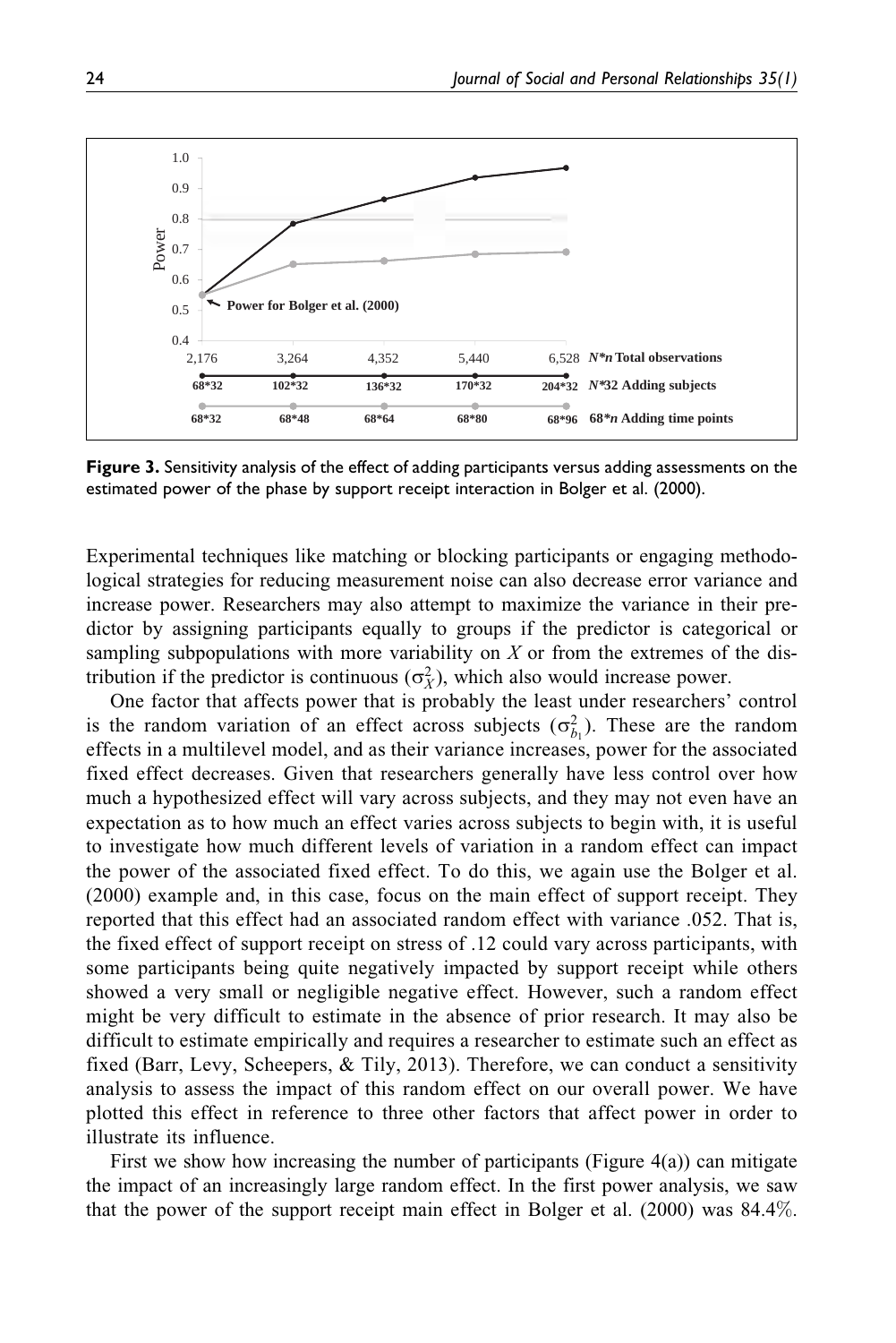

Figure 3. Sensitivity analysis of the effect of adding participants versus adding assessments on the estimated power of the phase by support receipt interaction in Bolger et al. (2000).

Experimental techniques like matching or blocking participants or engaging methodological strategies for reducing measurement noise can also decrease error variance and increase power. Researchers may also attempt to maximize the variance in their predictor by assigning participants equally to groups if the predictor is categorical or sampling subpopulations with more variability on X or from the extremes of the distribution if the predictor is continuous  $(\sigma_X^2)$ , which also would increase power.

One factor that affects power that is probably the least under researchers' control is the random variation of an effect across subjects  $(\sigma_{b_1}^2)$ . These are the random effects in a multilevel model, and as their variance increases, power for the associated fixed effect decreases. Given that researchers generally have less control over how much a hypothesized effect will vary across subjects, and they may not even have an expectation as to how much an effect varies across subjects to begin with, it is useful to investigate how much different levels of variation in a random effect can impact the power of the associated fixed effect. To do this, we again use the Bolger et al. (2000) example and, in this case, focus on the main effect of support receipt. They reported that this effect had an associated random effect with variance .052. That is, the fixed effect of support receipt on stress of .12 could vary across participants, with some participants being quite negatively impacted by support receipt while others showed a very small or negligible negative effect. However, such a random effect might be very difficult to estimate in the absence of prior research. It may also be difficult to estimate empirically and requires a researcher to estimate such an effect as fixed (Barr, Levy, Scheepers, & Tily, 2013). Therefore, we can conduct a sensitivity analysis to assess the impact of this random effect on our overall power. We have plotted this effect in reference to three other factors that affect power in order to illustrate its influence.

First we show how increasing the number of participants (Figure 4(a)) can mitigate the impact of an increasingly large random effect. In the first power analysis, we saw that the power of the support receipt main effect in Bolger et al. (2000) was 84.4%.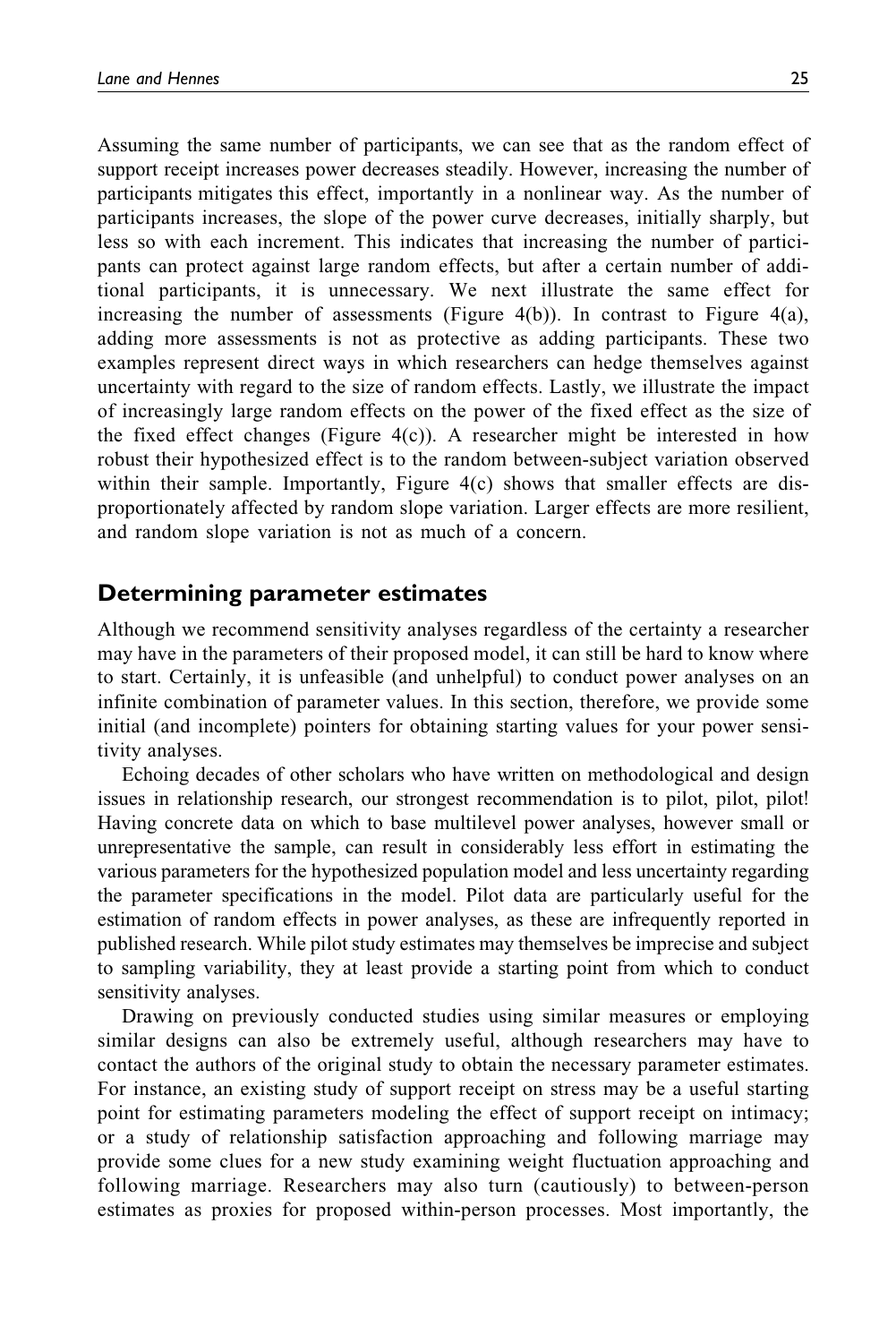Assuming the same number of participants, we can see that as the random effect of support receipt increases power decreases steadily. However, increasing the number of participants mitigates this effect, importantly in a nonlinear way. As the number of participants increases, the slope of the power curve decreases, initially sharply, but less so with each increment. This indicates that increasing the number of participants can protect against large random effects, but after a certain number of additional participants, it is unnecessary. We next illustrate the same effect for increasing the number of assessments (Figure 4(b)). In contrast to Figure 4(a), adding more assessments is not as protective as adding participants. These two examples represent direct ways in which researchers can hedge themselves against uncertainty with regard to the size of random effects. Lastly, we illustrate the impact of increasingly large random effects on the power of the fixed effect as the size of the fixed effect changes (Figure  $4(c)$ ). A researcher might be interested in how robust their hypothesized effect is to the random between-subject variation observed within their sample. Importantly, Figure 4(c) shows that smaller effects are disproportionately affected by random slope variation. Larger effects are more resilient, and random slope variation is not as much of a concern.

## Determining parameter estimates

Although we recommend sensitivity analyses regardless of the certainty a researcher may have in the parameters of their proposed model, it can still be hard to know where to start. Certainly, it is unfeasible (and unhelpful) to conduct power analyses on an infinite combination of parameter values. In this section, therefore, we provide some initial (and incomplete) pointers for obtaining starting values for your power sensitivity analyses.

Echoing decades of other scholars who have written on methodological and design issues in relationship research, our strongest recommendation is to pilot, pilot, pilot! Having concrete data on which to base multilevel power analyses, however small or unrepresentative the sample, can result in considerably less effort in estimating the various parameters for the hypothesized population model and less uncertainty regarding the parameter specifications in the model. Pilot data are particularly useful for the estimation of random effects in power analyses, as these are infrequently reported in published research. While pilot study estimates may themselves be imprecise and subject to sampling variability, they at least provide a starting point from which to conduct sensitivity analyses.

Drawing on previously conducted studies using similar measures or employing similar designs can also be extremely useful, although researchers may have to contact the authors of the original study to obtain the necessary parameter estimates. For instance, an existing study of support receipt on stress may be a useful starting point for estimating parameters modeling the effect of support receipt on intimacy; or a study of relationship satisfaction approaching and following marriage may provide some clues for a new study examining weight fluctuation approaching and following marriage. Researchers may also turn (cautiously) to between-person estimates as proxies for proposed within-person processes. Most importantly, the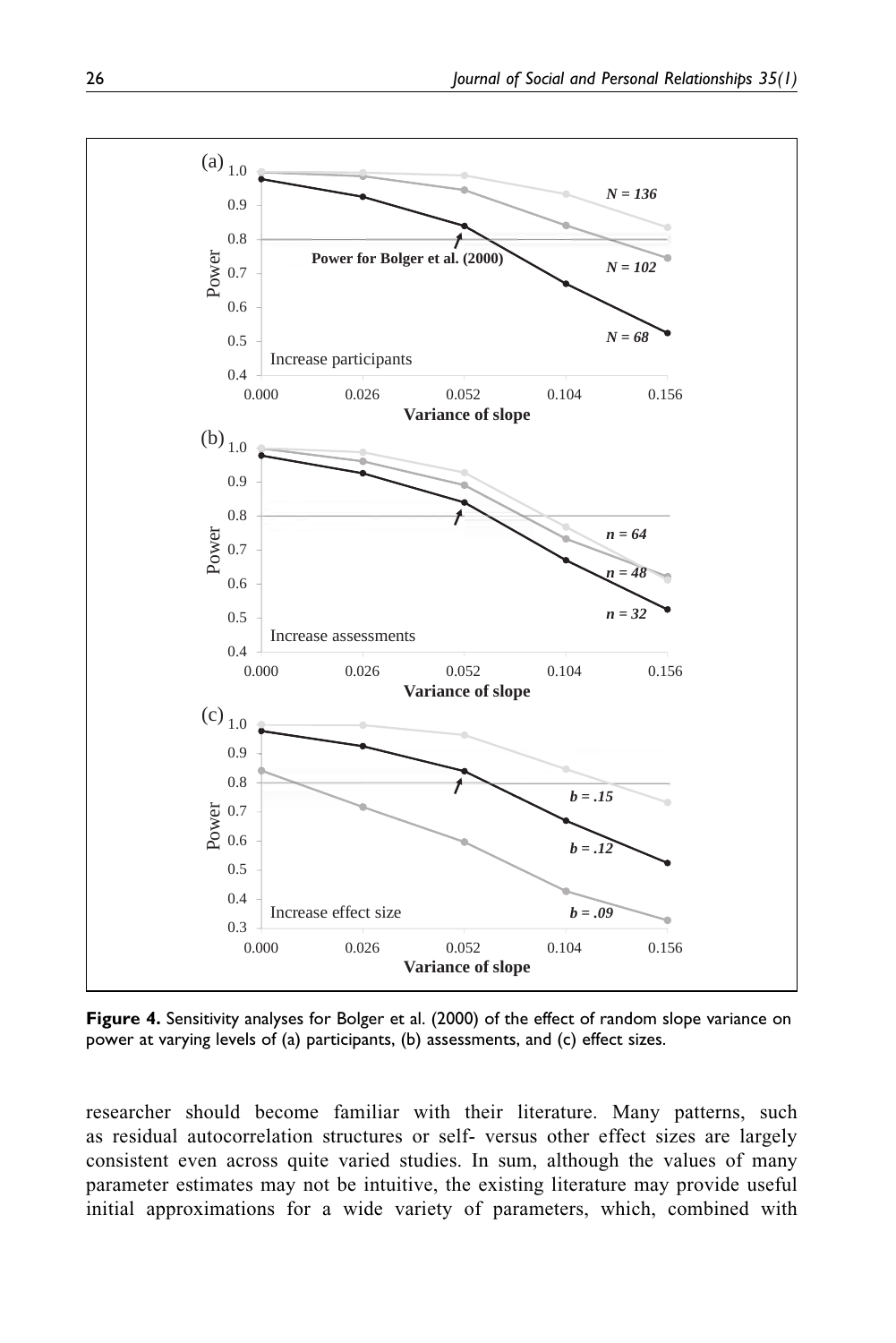

Figure 4. Sensitivity analyses for Bolger et al. (2000) of the effect of random slope variance on power at varying levels of (a) participants, (b) assessments, and (c) effect sizes.

researcher should become familiar with their literature. Many patterns, such as residual autocorrelation structures or self- versus other effect sizes are largely consistent even across quite varied studies. In sum, although the values of many parameter estimates may not be intuitive, the existing literature may provide useful initial approximations for a wide variety of parameters, which, combined with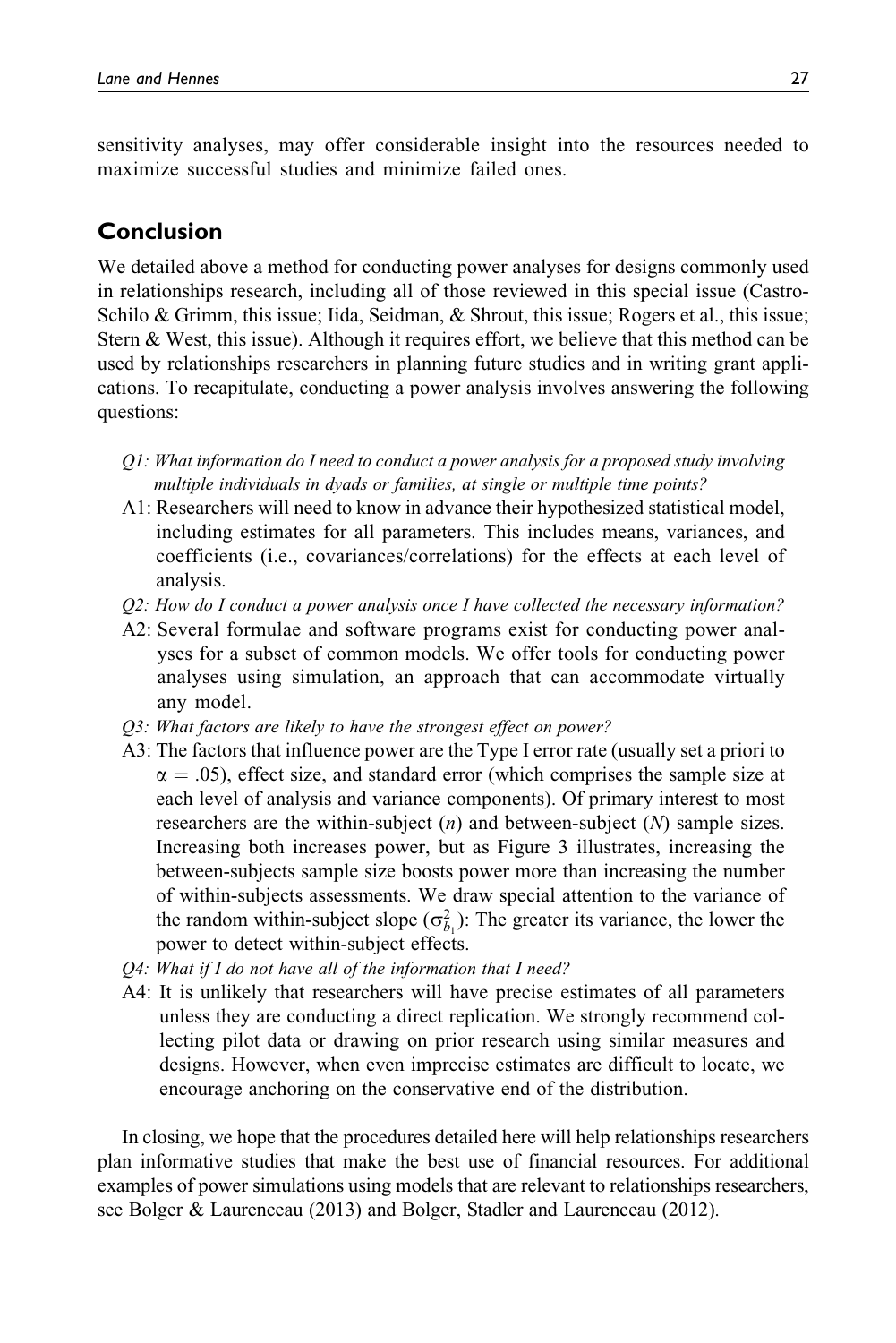sensitivity analyses, may offer considerable insight into the resources needed to maximize successful studies and minimize failed ones.

# Conclusion

We detailed above a method for conducting power analyses for designs commonly used in relationships research, including all of those reviewed in this special issue (Castro-Schilo & Grimm, this issue; Iida, Seidman, & Shrout, this issue; Rogers et al., this issue; Stern & West, this issue). Although it requires effort, we believe that this method can be used by relationships researchers in planning future studies and in writing grant applications. To recapitulate, conducting a power analysis involves answering the following questions:

- Q1: What information do I need to conduct a power analysis for a proposed study involving multiple individuals in dyads or families, at single or multiple time points?
- A1: Researchers will need to know in advance their hypothesized statistical model, including estimates for all parameters. This includes means, variances, and coefficients (i.e., covariances/correlations) for the effects at each level of analysis.
- Q2: How do I conduct a power analysis once I have collected the necessary information?
- A2: Several formulae and software programs exist for conducting power analyses for a subset of common models. We offer tools for conducting power analyses using simulation, an approach that can accommodate virtually any model.
- Q3: What factors are likely to have the strongest effect on power?
- A3: The factors that influence power are the Type I error rate (usually set a priori to  $\alpha = .05$ ), effect size, and standard error (which comprises the sample size at each level of analysis and variance components). Of primary interest to most researchers are the within-subject  $(n)$  and between-subject  $(N)$  sample sizes. Increasing both increases power, but as Figure 3 illustrates, increasing the between-subjects sample size boosts power more than increasing the number of within-subjects assessments. We draw special attention to the variance of the random within-subject slope  $(\sigma_{b_1}^2)$ : The greater its variance, the lower the power to detect within-subject effects.
- Q4: What if I do not have all of the information that I need?
- A4: It is unlikely that researchers will have precise estimates of all parameters unless they are conducting a direct replication. We strongly recommend collecting pilot data or drawing on prior research using similar measures and designs. However, when even imprecise estimates are difficult to locate, we encourage anchoring on the conservative end of the distribution.

In closing, we hope that the procedures detailed here will help relationships researchers plan informative studies that make the best use of financial resources. For additional examples of power simulations using models that are relevant to relationships researchers, see Bolger & Laurenceau (2013) and Bolger, Stadler and Laurenceau (2012).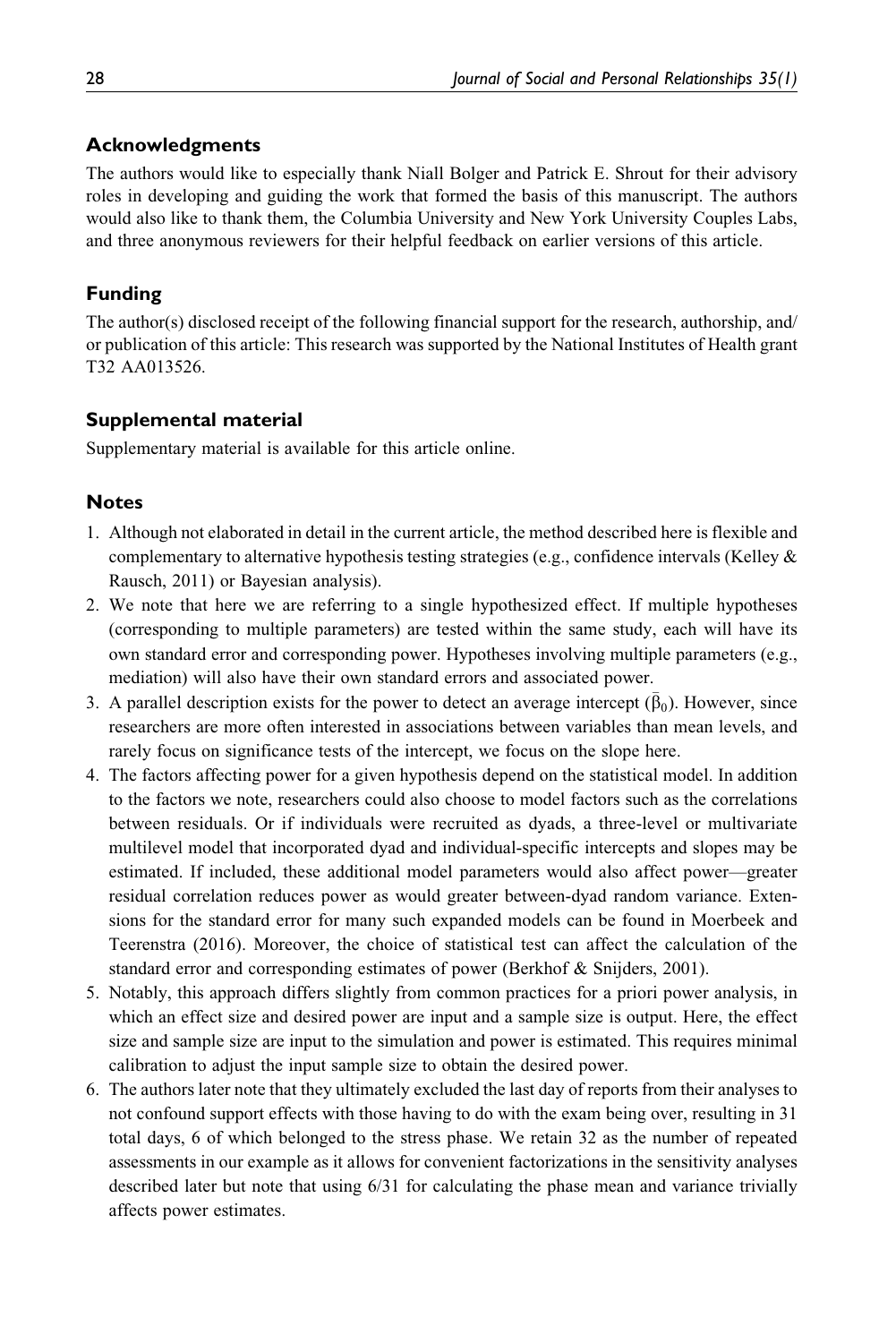## Acknowledgments

The authors would like to especially thank Niall Bolger and Patrick E. Shrout for their advisory roles in developing and guiding the work that formed the basis of this manuscript. The authors would also like to thank them, the Columbia University and New York University Couples Labs, and three anonymous reviewers for their helpful feedback on earlier versions of this article.

## Funding

The author(s) disclosed receipt of the following financial support for the research, authorship, and/ or publication of this article: This research was supported by the National Institutes of Health grant T32 AA013526.

## Supplemental material

Supplementary material is available for this article online.

## **Notes**

- 1. Although not elaborated in detail in the current article, the method described here is flexible and complementary to alternative hypothesis testing strategies (e.g., confidence intervals (Kelley & Rausch, 2011) or Bayesian analysis).
- 2. We note that here we are referring to a single hypothesized effect. If multiple hypotheses (corresponding to multiple parameters) are tested within the same study, each will have its own standard error and corresponding power. Hypotheses involving multiple parameters (e.g., mediation) will also have their own standard errors and associated power.
- 3. A parallel description exists for the power to detect an average intercept  $(\bar{\beta}_0)$ . However, since researchers are more often interested in associations between variables than mean levels, and rarely focus on significance tests of the intercept, we focus on the slope here.
- 4. The factors affecting power for a given hypothesis depend on the statistical model. In addition to the factors we note, researchers could also choose to model factors such as the correlations between residuals. Or if individuals were recruited as dyads, a three-level or multivariate multilevel model that incorporated dyad and individual-specific intercepts and slopes may be estimated. If included, these additional model parameters would also affect power—greater residual correlation reduces power as would greater between-dyad random variance. Extensions for the standard error for many such expanded models can be found in Moerbeek and Teerenstra (2016). Moreover, the choice of statistical test can affect the calculation of the standard error and corresponding estimates of power (Berkhof & Snijders, 2001).
- 5. Notably, this approach differs slightly from common practices for a priori power analysis, in which an effect size and desired power are input and a sample size is output. Here, the effect size and sample size are input to the simulation and power is estimated. This requires minimal calibration to adjust the input sample size to obtain the desired power.
- 6. The authors later note that they ultimately excluded the last day of reports from their analyses to not confound support effects with those having to do with the exam being over, resulting in 31 total days, 6 of which belonged to the stress phase. We retain 32 as the number of repeated assessments in our example as it allows for convenient factorizations in the sensitivity analyses described later but note that using 6/31 for calculating the phase mean and variance trivially affects power estimates.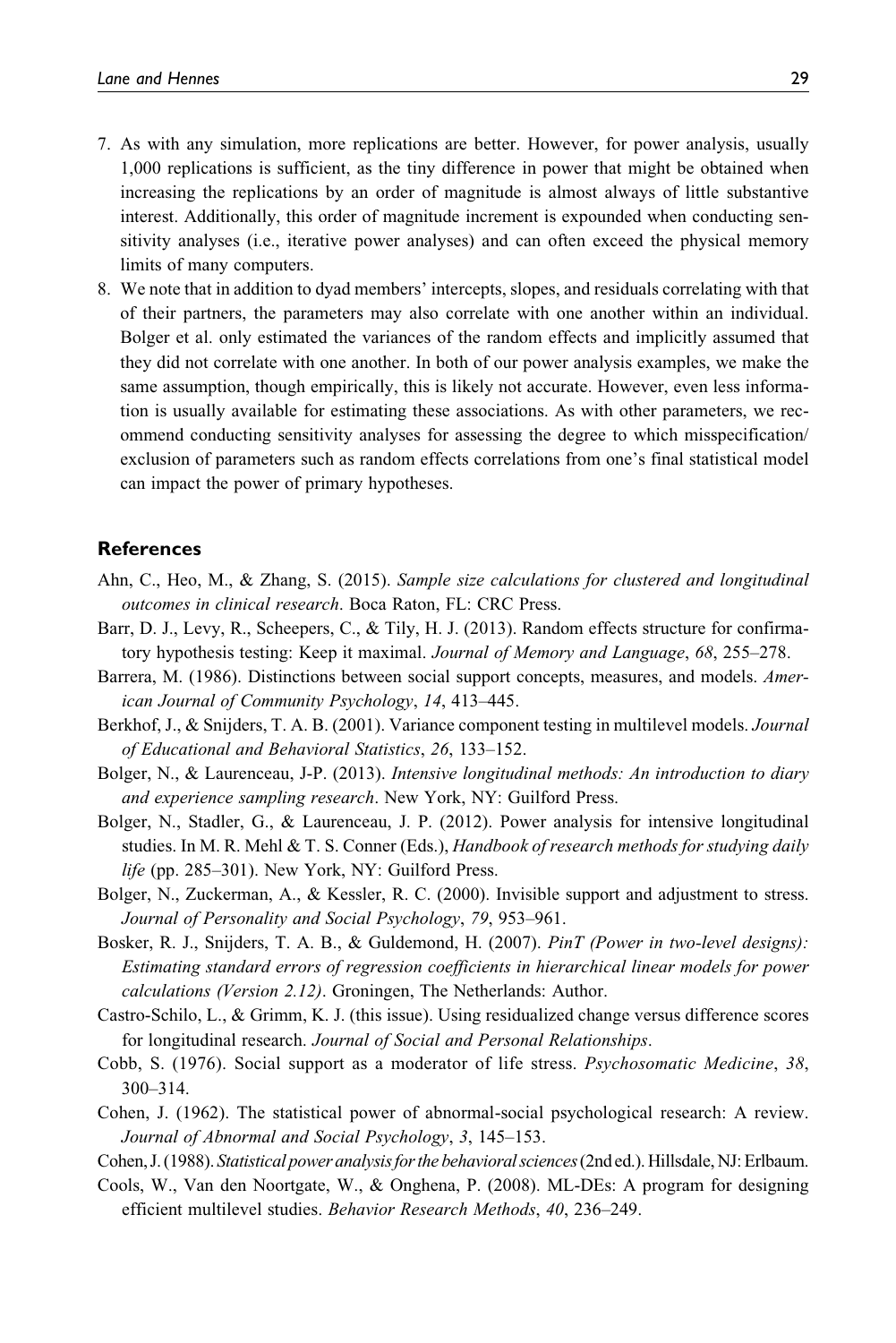- 7. As with any simulation, more replications are better. However, for power analysis, usually 1,000 replications is sufficient, as the tiny difference in power that might be obtained when increasing the replications by an order of magnitude is almost always of little substantive interest. Additionally, this order of magnitude increment is expounded when conducting sensitivity analyses (i.e., iterative power analyses) and can often exceed the physical memory limits of many computers.
- 8. We note that in addition to dyad members' intercepts, slopes, and residuals correlating with that of their partners, the parameters may also correlate with one another within an individual. Bolger et al. only estimated the variances of the random effects and implicitly assumed that they did not correlate with one another. In both of our power analysis examples, we make the same assumption, though empirically, this is likely not accurate. However, even less information is usually available for estimating these associations. As with other parameters, we recommend conducting sensitivity analyses for assessing the degree to which misspecification/ exclusion of parameters such as random effects correlations from one's final statistical model can impact the power of primary hypotheses.

#### **References**

- Ahn, C., Heo, M., & Zhang, S. (2015). Sample size calculations for clustered and longitudinal outcomes in clinical research. Boca Raton, FL: CRC Press.
- Barr, D. J., Levy, R., Scheepers, C., & Tily, H. J. (2013). Random effects structure for confirmatory hypothesis testing: Keep it maximal. Journal of Memory and Language, 68, 255–278.
- Barrera, M. (1986). Distinctions between social support concepts, measures, and models. American Journal of Community Psychology, 14, 413–445.
- Berkhof, J., & Snijders, T. A. B. (2001). Variance component testing in multilevel models. Journal of Educational and Behavioral Statistics, 26, 133–152.
- Bolger, N., & Laurenceau, J-P. (2013). Intensive longitudinal methods: An introduction to diary and experience sampling research. New York, NY: Guilford Press.
- Bolger, N., Stadler, G., & Laurenceau, J. P. (2012). Power analysis for intensive longitudinal studies. In M. R. Mehl & T. S. Conner (Eds.), Handbook of research methods for studying daily life (pp. 285–301). New York, NY: Guilford Press.
- Bolger, N., Zuckerman, A., & Kessler, R. C. (2000). Invisible support and adjustment to stress. Journal of Personality and Social Psychology, 79, 953–961.
- Bosker, R. J., Snijders, T. A. B., & Guldemond, H. (2007). PinT (Power in two-level designs): Estimating standard errors of regression coefficients in hierarchical linear models for power calculations (Version 2.12). Groningen, The Netherlands: Author.
- Castro-Schilo, L., & Grimm, K. J. (this issue). Using residualized change versus difference scores for longitudinal research. Journal of Social and Personal Relationships.
- Cobb, S. (1976). Social support as a moderator of life stress. Psychosomatic Medicine, 38, 300–314.
- Cohen, J. (1962). The statistical power of abnormal-social psychological research: A review. Journal of Abnormal and Social Psychology, 3, 145–153.

Cohen, J. (1988). Statistical power analysisforthe behavioral sciences(2nd ed.). Hillsdale, NJ: Erlbaum.

Cools, W., Van den Noortgate, W., & Onghena, P. (2008). ML-DEs: A program for designing efficient multilevel studies. Behavior Research Methods, 40, 236–249.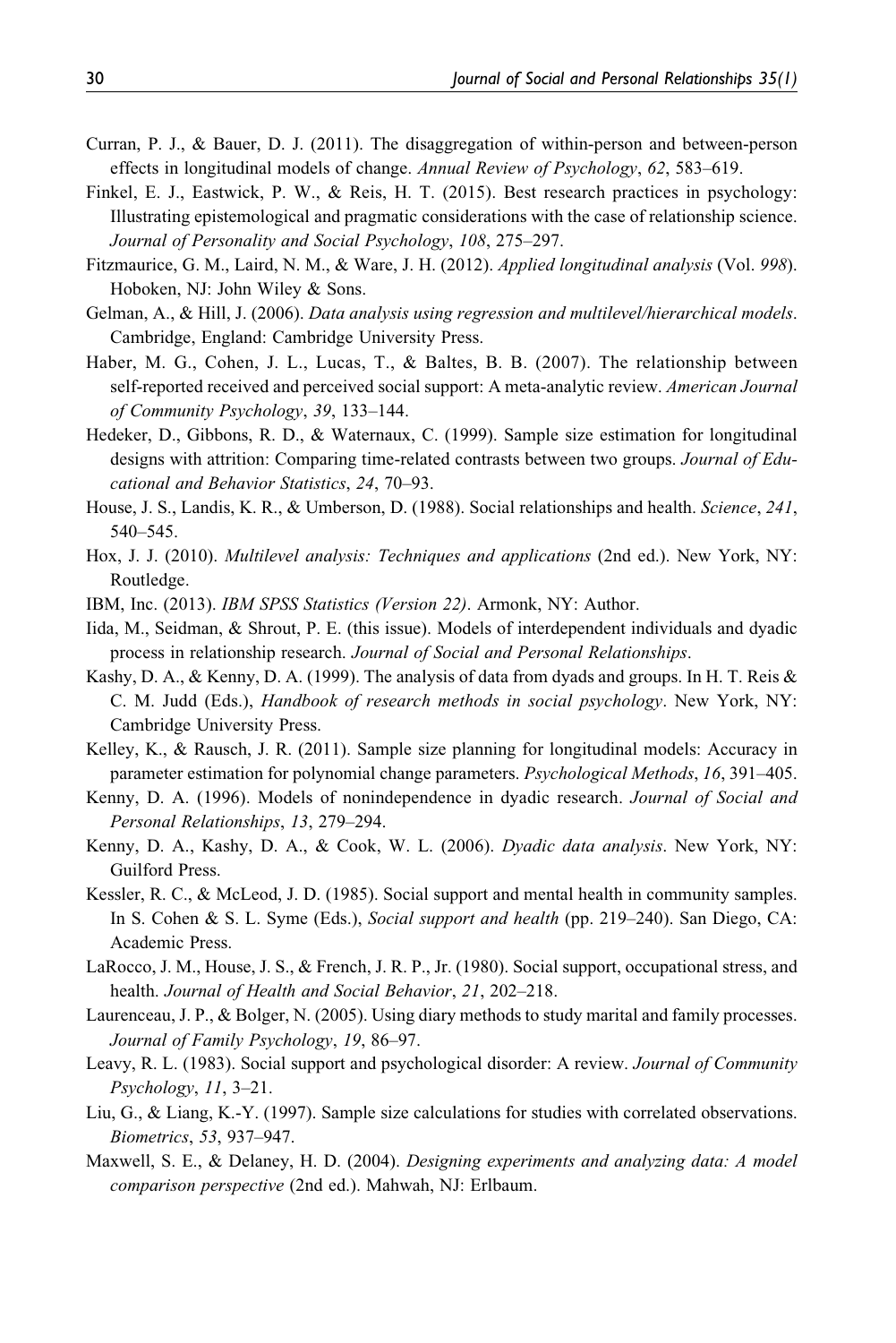- Curran, P. J., & Bauer, D. J. (2011). The disaggregation of within-person and between-person effects in longitudinal models of change. Annual Review of Psychology, 62, 583–619.
- Finkel, E. J., Eastwick, P. W., & Reis, H. T. (2015). Best research practices in psychology: Illustrating epistemological and pragmatic considerations with the case of relationship science. Journal of Personality and Social Psychology, 108, 275–297.
- Fitzmaurice, G. M., Laird, N. M., & Ware, J. H. (2012). Applied longitudinal analysis (Vol. 998). Hoboken, NJ: John Wiley & Sons.
- Gelman, A., & Hill, J. (2006). Data analysis using regression and multilevel/hierarchical models. Cambridge, England: Cambridge University Press.
- Haber, M. G., Cohen, J. L., Lucas, T., & Baltes, B. B. (2007). The relationship between self-reported received and perceived social support: A meta-analytic review. American Journal of Community Psychology, 39, 133–144.
- Hedeker, D., Gibbons, R. D., & Waternaux, C. (1999). Sample size estimation for longitudinal designs with attrition: Comparing time-related contrasts between two groups. Journal of Educational and Behavior Statistics, 24, 70–93.
- House, J. S., Landis, K. R., & Umberson, D. (1988). Social relationships and health. Science, 241, 540–545.
- Hox, J. J. (2010). *Multilevel analysis: Techniques and applications* (2nd ed.). New York, NY: Routledge.
- IBM, Inc. (2013). IBM SPSS Statistics (Version 22). Armonk, NY: Author.
- Iida, M., Seidman, & Shrout, P. E. (this issue). Models of interdependent individuals and dyadic process in relationship research. Journal of Social and Personal Relationships.
- Kashy, D. A., & Kenny, D. A. (1999). The analysis of data from dyads and groups. In H. T. Reis & C. M. Judd (Eds.), Handbook of research methods in social psychology. New York, NY: Cambridge University Press.
- Kelley, K., & Rausch, J. R. (2011). Sample size planning for longitudinal models: Accuracy in parameter estimation for polynomial change parameters. Psychological Methods, 16, 391-405.
- Kenny, D. A. (1996). Models of nonindependence in dyadic research. Journal of Social and Personal Relationships, 13, 279–294.
- Kenny, D. A., Kashy, D. A., & Cook, W. L. (2006). Dyadic data analysis. New York, NY: Guilford Press.
- Kessler, R. C., & McLeod, J. D. (1985). Social support and mental health in community samples. In S. Cohen & S. L. Syme (Eds.), Social support and health (pp. 219–240). San Diego, CA: Academic Press.
- LaRocco, J. M., House, J. S., & French, J. R. P., Jr. (1980). Social support, occupational stress, and health. Journal of Health and Social Behavior, 21, 202–218.
- Laurenceau, J. P., & Bolger, N. (2005). Using diary methods to study marital and family processes. Journal of Family Psychology, 19, 86–97.
- Leavy, R. L. (1983). Social support and psychological disorder: A review. Journal of Community Psychology, 11, 3–21.
- Liu, G., & Liang, K.-Y. (1997). Sample size calculations for studies with correlated observations. Biometrics, 53, 937–947.
- Maxwell, S. E., & Delaney, H. D. (2004). *Designing experiments and analyzing data: A model* comparison perspective (2nd ed.). Mahwah, NJ: Erlbaum.